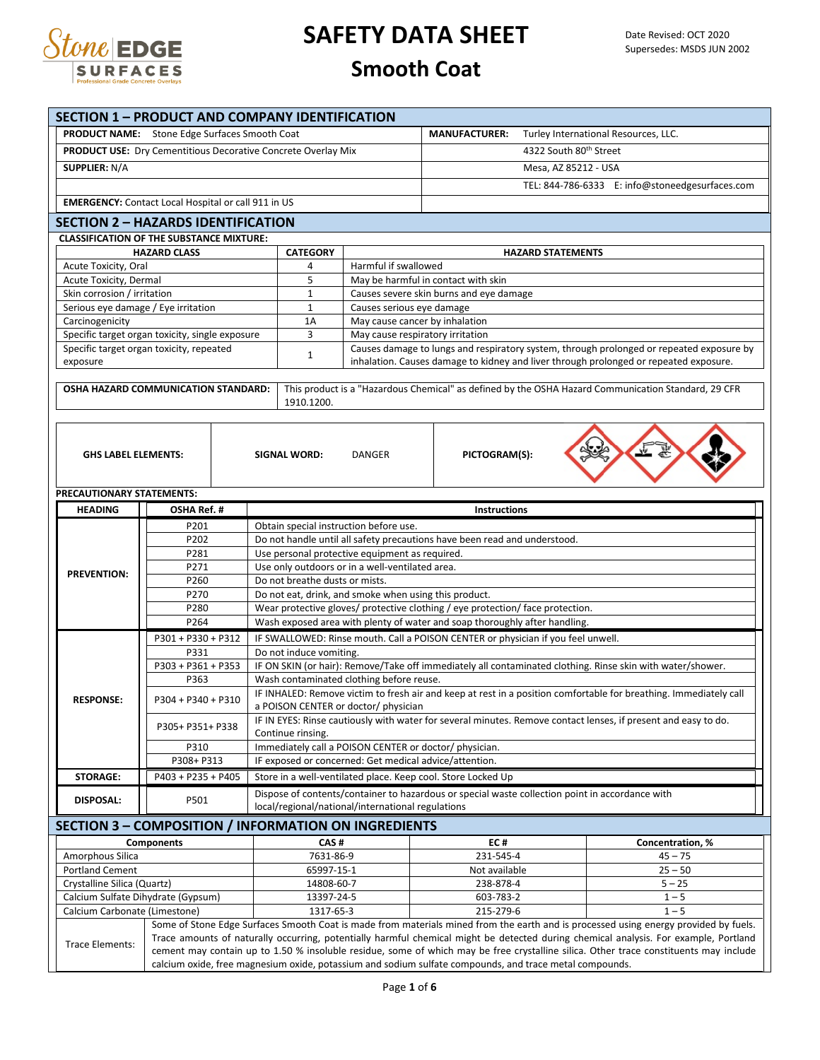

| <b>PRODUCT NAME:</b> Stone Edge Surfaces Smooth Coat<br><b>MANUFACTURER:</b><br>Turley International Resources, LLC.<br>4322 South 80th Street<br>PRODUCT USE: Dry Cementitious Decorative Concrete Overlay Mix<br><b>SUPPLIER: N/A</b><br>Mesa, AZ 85212 - USA<br>TEL: 844-786-6333 E: info@stoneedgesurfaces.com<br><b>EMERGENCY:</b> Contact Local Hospital or call 911 in US<br><b>SECTION 2 - HAZARDS IDENTIFICATION</b><br><b>CLASSIFICATION OF THE SUBSTANCE MIXTURE:</b><br><b>HAZARD CLASS</b><br><b>CATEGORY</b><br><b>HAZARD STATEMENTS</b><br>Acute Toxicity, Oral<br>Harmful if swallowed<br>4<br>5<br>Acute Toxicity, Dermal<br>May be harmful in contact with skin<br>Skin corrosion / irritation<br>Causes severe skin burns and eye damage<br>$\mathbf 1$<br>Serious eye damage / Eye irritation<br>$\mathbf{1}$<br>Causes serious eye damage<br>1A<br>Carcinogenicity<br>May cause cancer by inhalation<br>3<br>Specific target organ toxicity, single exposure<br>May cause respiratory irritation<br>Causes damage to lungs and respiratory system, through prolonged or repeated exposure by<br>Specific target organ toxicity, repeated<br>$\mathbf{1}$<br>inhalation. Causes damage to kidney and liver through prolonged or repeated exposure.<br>exposure<br>This product is a "Hazardous Chemical" as defined by the OSHA Hazard Communication Standard, 29 CFR<br>OSHA HAZARD COMMUNICATION STANDARD:<br>1910.1200.<br>PICTOGRAM(S):<br><b>GHS LABEL ELEMENTS:</b><br>SIGNAL WORD:<br><b>DANGER</b><br>PRECAUTIONARY STATEMENTS:<br><b>HEADING</b><br>OSHA Ref. #<br><b>Instructions</b><br>P201<br>Obtain special instruction before use.<br>P202<br>Do not handle until all safety precautions have been read and understood.<br>P281<br>Use personal protective equipment as required.<br>P271<br>Use only outdoors or in a well-ventilated area.<br><b>PREVENTION:</b><br>P260<br>Do not breathe dusts or mists.<br>P270<br>Do not eat, drink, and smoke when using this product.<br>Wear protective gloves/ protective clothing / eye protection/ face protection.<br>P280<br>P264<br>Wash exposed area with plenty of water and soap thoroughly after handling.<br>P301 + P330 + P312<br>IF SWALLOWED: Rinse mouth. Call a POISON CENTER or physician if you feel unwell.<br>P331<br>Do not induce vomiting.<br>IF ON SKIN (or hair): Remove/Take off immediately all contaminated clothing. Rinse skin with water/shower.<br>P303 + P361 + P353<br>P363<br>Wash contaminated clothing before reuse.<br>IF INHALED: Remove victim to fresh air and keep at rest in a position comfortable for breathing. Immediately call<br><b>RESPONSE:</b><br>P304 + P340 + P310<br>a POISON CENTER or doctor/ physician<br>IF IN EYES: Rinse cautiously with water for several minutes. Remove contact lenses, if present and easy to do.<br>P305+ P351+ P338<br>Continue rinsing.<br>P310<br>Immediately call a POISON CENTER or doctor/ physician.<br>P308+ P313<br>IF exposed or concerned: Get medical advice/attention.<br>P403 + P235 + P405<br>Store in a well-ventilated place. Keep cool. Store Locked Up<br><b>STORAGE:</b><br>Dispose of contents/container to hazardous or special waste collection point in accordance with<br><b>DISPOSAL:</b><br>P501<br>local/regional/national/international regulations<br><b>SECTION 3 - COMPOSITION / INFORMATION ON INGREDIENTS</b><br><b>Components</b><br>CAS#<br>EC#<br>Concentration, %<br>Amorphous Silica<br>7631-86-9<br>231-545-4<br>$45 - 75$<br><b>Portland Cement</b><br>65997-15-1<br>$25 - 50$<br>Not available<br>14808-60-7<br>238-878-4<br>$5 - 25$<br>Crystalline Silica (Quartz)<br>603-783-2<br>Calcium Sulfate Dihydrate (Gypsum)<br>13397-24-5<br>$1 - 5$<br>Calcium Carbonate (Limestone)<br>1317-65-3<br>215-279-6<br>$1 - 5$<br>Some of Stone Edge Surfaces Smooth Coat is made from materials mined from the earth and is processed using energy provided by fuels.<br>Trace amounts of naturally occurring, potentially harmful chemical might be detected during chemical analysis. For example, Portland<br>Trace Elements:<br>cement may contain up to 1.50 % insoluble residue, some of which may be free crystalline silica. Other trace constituents may include<br>calcium oxide, free magnesium oxide, potassium and sodium sulfate compounds, and trace metal compounds. |  | <b>SECTION 1 - PRODUCT AND COMPANY IDENTIFICATION</b> |  |  |  |  |  |  |  |  |
|---------------------------------------------------------------------------------------------------------------------------------------------------------------------------------------------------------------------------------------------------------------------------------------------------------------------------------------------------------------------------------------------------------------------------------------------------------------------------------------------------------------------------------------------------------------------------------------------------------------------------------------------------------------------------------------------------------------------------------------------------------------------------------------------------------------------------------------------------------------------------------------------------------------------------------------------------------------------------------------------------------------------------------------------------------------------------------------------------------------------------------------------------------------------------------------------------------------------------------------------------------------------------------------------------------------------------------------------------------------------------------------------------------------------------------------------------------------------------------------------------------------------------------------------------------------------------------------------------------------------------------------------------------------------------------------------------------------------------------------------------------------------------------------------------------------------------------------------------------------------------------------------------------------------------------------------------------------------------------------------------------------------------------------------------------------------------------------------------------------------------------------------------------------------------------------------------------------------------------------------------------------------------------------------------------------------------------------------------------------------------------------------------------------------------------------------------------------------------------------------------------------------------------------------------------------------------------------------------------------------------------------------------------------------------------------------------------------------------------------------------------------------------------------------------------------------------------------------------------------------------------------------------------------------------------------------------------------------------------------------------------------------------------------------------------------------------------------------------------------------------------------------------------------------------------------------------------------------------------------------------------------------------------------------------------------------------------------------------------------------------------------------------------------------------------------------------------------------------------------------------------------------------------------------------------------------------------------------------------------------------------------------------------------------------------------------------------------------------------------------------------------------------------------------------------------------------------------------------------------------------------------------------------------------------------------------------------------------------------------------------------------------------------------------------------------------------------------------------------------------------------------------------------------------------------------------------------------------------------------------------------------------------------------------------------------------------------------------------------------------------------------|--|-------------------------------------------------------|--|--|--|--|--|--|--|--|
|                                                                                                                                                                                                                                                                                                                                                                                                                                                                                                                                                                                                                                                                                                                                                                                                                                                                                                                                                                                                                                                                                                                                                                                                                                                                                                                                                                                                                                                                                                                                                                                                                                                                                                                                                                                                                                                                                                                                                                                                                                                                                                                                                                                                                                                                                                                                                                                                                                                                                                                                                                                                                                                                                                                                                                                                                                                                                                                                                                                                                                                                                                                                                                                                                                                                                                                                                                                                                                                                                                                                                                                                                                                                                                                                                                                                                                                                                                                                                                                                                                                                                                                                                                                                                                                                                                                                                                                       |  |                                                       |  |  |  |  |  |  |  |  |
|                                                                                                                                                                                                                                                                                                                                                                                                                                                                                                                                                                                                                                                                                                                                                                                                                                                                                                                                                                                                                                                                                                                                                                                                                                                                                                                                                                                                                                                                                                                                                                                                                                                                                                                                                                                                                                                                                                                                                                                                                                                                                                                                                                                                                                                                                                                                                                                                                                                                                                                                                                                                                                                                                                                                                                                                                                                                                                                                                                                                                                                                                                                                                                                                                                                                                                                                                                                                                                                                                                                                                                                                                                                                                                                                                                                                                                                                                                                                                                                                                                                                                                                                                                                                                                                                                                                                                                                       |  |                                                       |  |  |  |  |  |  |  |  |
|                                                                                                                                                                                                                                                                                                                                                                                                                                                                                                                                                                                                                                                                                                                                                                                                                                                                                                                                                                                                                                                                                                                                                                                                                                                                                                                                                                                                                                                                                                                                                                                                                                                                                                                                                                                                                                                                                                                                                                                                                                                                                                                                                                                                                                                                                                                                                                                                                                                                                                                                                                                                                                                                                                                                                                                                                                                                                                                                                                                                                                                                                                                                                                                                                                                                                                                                                                                                                                                                                                                                                                                                                                                                                                                                                                                                                                                                                                                                                                                                                                                                                                                                                                                                                                                                                                                                                                                       |  |                                                       |  |  |  |  |  |  |  |  |
|                                                                                                                                                                                                                                                                                                                                                                                                                                                                                                                                                                                                                                                                                                                                                                                                                                                                                                                                                                                                                                                                                                                                                                                                                                                                                                                                                                                                                                                                                                                                                                                                                                                                                                                                                                                                                                                                                                                                                                                                                                                                                                                                                                                                                                                                                                                                                                                                                                                                                                                                                                                                                                                                                                                                                                                                                                                                                                                                                                                                                                                                                                                                                                                                                                                                                                                                                                                                                                                                                                                                                                                                                                                                                                                                                                                                                                                                                                                                                                                                                                                                                                                                                                                                                                                                                                                                                                                       |  |                                                       |  |  |  |  |  |  |  |  |
|                                                                                                                                                                                                                                                                                                                                                                                                                                                                                                                                                                                                                                                                                                                                                                                                                                                                                                                                                                                                                                                                                                                                                                                                                                                                                                                                                                                                                                                                                                                                                                                                                                                                                                                                                                                                                                                                                                                                                                                                                                                                                                                                                                                                                                                                                                                                                                                                                                                                                                                                                                                                                                                                                                                                                                                                                                                                                                                                                                                                                                                                                                                                                                                                                                                                                                                                                                                                                                                                                                                                                                                                                                                                                                                                                                                                                                                                                                                                                                                                                                                                                                                                                                                                                                                                                                                                                                                       |  |                                                       |  |  |  |  |  |  |  |  |
|                                                                                                                                                                                                                                                                                                                                                                                                                                                                                                                                                                                                                                                                                                                                                                                                                                                                                                                                                                                                                                                                                                                                                                                                                                                                                                                                                                                                                                                                                                                                                                                                                                                                                                                                                                                                                                                                                                                                                                                                                                                                                                                                                                                                                                                                                                                                                                                                                                                                                                                                                                                                                                                                                                                                                                                                                                                                                                                                                                                                                                                                                                                                                                                                                                                                                                                                                                                                                                                                                                                                                                                                                                                                                                                                                                                                                                                                                                                                                                                                                                                                                                                                                                                                                                                                                                                                                                                       |  |                                                       |  |  |  |  |  |  |  |  |
|                                                                                                                                                                                                                                                                                                                                                                                                                                                                                                                                                                                                                                                                                                                                                                                                                                                                                                                                                                                                                                                                                                                                                                                                                                                                                                                                                                                                                                                                                                                                                                                                                                                                                                                                                                                                                                                                                                                                                                                                                                                                                                                                                                                                                                                                                                                                                                                                                                                                                                                                                                                                                                                                                                                                                                                                                                                                                                                                                                                                                                                                                                                                                                                                                                                                                                                                                                                                                                                                                                                                                                                                                                                                                                                                                                                                                                                                                                                                                                                                                                                                                                                                                                                                                                                                                                                                                                                       |  |                                                       |  |  |  |  |  |  |  |  |
|                                                                                                                                                                                                                                                                                                                                                                                                                                                                                                                                                                                                                                                                                                                                                                                                                                                                                                                                                                                                                                                                                                                                                                                                                                                                                                                                                                                                                                                                                                                                                                                                                                                                                                                                                                                                                                                                                                                                                                                                                                                                                                                                                                                                                                                                                                                                                                                                                                                                                                                                                                                                                                                                                                                                                                                                                                                                                                                                                                                                                                                                                                                                                                                                                                                                                                                                                                                                                                                                                                                                                                                                                                                                                                                                                                                                                                                                                                                                                                                                                                                                                                                                                                                                                                                                                                                                                                                       |  |                                                       |  |  |  |  |  |  |  |  |
|                                                                                                                                                                                                                                                                                                                                                                                                                                                                                                                                                                                                                                                                                                                                                                                                                                                                                                                                                                                                                                                                                                                                                                                                                                                                                                                                                                                                                                                                                                                                                                                                                                                                                                                                                                                                                                                                                                                                                                                                                                                                                                                                                                                                                                                                                                                                                                                                                                                                                                                                                                                                                                                                                                                                                                                                                                                                                                                                                                                                                                                                                                                                                                                                                                                                                                                                                                                                                                                                                                                                                                                                                                                                                                                                                                                                                                                                                                                                                                                                                                                                                                                                                                                                                                                                                                                                                                                       |  |                                                       |  |  |  |  |  |  |  |  |
|                                                                                                                                                                                                                                                                                                                                                                                                                                                                                                                                                                                                                                                                                                                                                                                                                                                                                                                                                                                                                                                                                                                                                                                                                                                                                                                                                                                                                                                                                                                                                                                                                                                                                                                                                                                                                                                                                                                                                                                                                                                                                                                                                                                                                                                                                                                                                                                                                                                                                                                                                                                                                                                                                                                                                                                                                                                                                                                                                                                                                                                                                                                                                                                                                                                                                                                                                                                                                                                                                                                                                                                                                                                                                                                                                                                                                                                                                                                                                                                                                                                                                                                                                                                                                                                                                                                                                                                       |  |                                                       |  |  |  |  |  |  |  |  |
|                                                                                                                                                                                                                                                                                                                                                                                                                                                                                                                                                                                                                                                                                                                                                                                                                                                                                                                                                                                                                                                                                                                                                                                                                                                                                                                                                                                                                                                                                                                                                                                                                                                                                                                                                                                                                                                                                                                                                                                                                                                                                                                                                                                                                                                                                                                                                                                                                                                                                                                                                                                                                                                                                                                                                                                                                                                                                                                                                                                                                                                                                                                                                                                                                                                                                                                                                                                                                                                                                                                                                                                                                                                                                                                                                                                                                                                                                                                                                                                                                                                                                                                                                                                                                                                                                                                                                                                       |  |                                                       |  |  |  |  |  |  |  |  |
|                                                                                                                                                                                                                                                                                                                                                                                                                                                                                                                                                                                                                                                                                                                                                                                                                                                                                                                                                                                                                                                                                                                                                                                                                                                                                                                                                                                                                                                                                                                                                                                                                                                                                                                                                                                                                                                                                                                                                                                                                                                                                                                                                                                                                                                                                                                                                                                                                                                                                                                                                                                                                                                                                                                                                                                                                                                                                                                                                                                                                                                                                                                                                                                                                                                                                                                                                                                                                                                                                                                                                                                                                                                                                                                                                                                                                                                                                                                                                                                                                                                                                                                                                                                                                                                                                                                                                                                       |  |                                                       |  |  |  |  |  |  |  |  |
|                                                                                                                                                                                                                                                                                                                                                                                                                                                                                                                                                                                                                                                                                                                                                                                                                                                                                                                                                                                                                                                                                                                                                                                                                                                                                                                                                                                                                                                                                                                                                                                                                                                                                                                                                                                                                                                                                                                                                                                                                                                                                                                                                                                                                                                                                                                                                                                                                                                                                                                                                                                                                                                                                                                                                                                                                                                                                                                                                                                                                                                                                                                                                                                                                                                                                                                                                                                                                                                                                                                                                                                                                                                                                                                                                                                                                                                                                                                                                                                                                                                                                                                                                                                                                                                                                                                                                                                       |  |                                                       |  |  |  |  |  |  |  |  |
|                                                                                                                                                                                                                                                                                                                                                                                                                                                                                                                                                                                                                                                                                                                                                                                                                                                                                                                                                                                                                                                                                                                                                                                                                                                                                                                                                                                                                                                                                                                                                                                                                                                                                                                                                                                                                                                                                                                                                                                                                                                                                                                                                                                                                                                                                                                                                                                                                                                                                                                                                                                                                                                                                                                                                                                                                                                                                                                                                                                                                                                                                                                                                                                                                                                                                                                                                                                                                                                                                                                                                                                                                                                                                                                                                                                                                                                                                                                                                                                                                                                                                                                                                                                                                                                                                                                                                                                       |  |                                                       |  |  |  |  |  |  |  |  |
|                                                                                                                                                                                                                                                                                                                                                                                                                                                                                                                                                                                                                                                                                                                                                                                                                                                                                                                                                                                                                                                                                                                                                                                                                                                                                                                                                                                                                                                                                                                                                                                                                                                                                                                                                                                                                                                                                                                                                                                                                                                                                                                                                                                                                                                                                                                                                                                                                                                                                                                                                                                                                                                                                                                                                                                                                                                                                                                                                                                                                                                                                                                                                                                                                                                                                                                                                                                                                                                                                                                                                                                                                                                                                                                                                                                                                                                                                                                                                                                                                                                                                                                                                                                                                                                                                                                                                                                       |  |                                                       |  |  |  |  |  |  |  |  |
|                                                                                                                                                                                                                                                                                                                                                                                                                                                                                                                                                                                                                                                                                                                                                                                                                                                                                                                                                                                                                                                                                                                                                                                                                                                                                                                                                                                                                                                                                                                                                                                                                                                                                                                                                                                                                                                                                                                                                                                                                                                                                                                                                                                                                                                                                                                                                                                                                                                                                                                                                                                                                                                                                                                                                                                                                                                                                                                                                                                                                                                                                                                                                                                                                                                                                                                                                                                                                                                                                                                                                                                                                                                                                                                                                                                                                                                                                                                                                                                                                                                                                                                                                                                                                                                                                                                                                                                       |  |                                                       |  |  |  |  |  |  |  |  |
|                                                                                                                                                                                                                                                                                                                                                                                                                                                                                                                                                                                                                                                                                                                                                                                                                                                                                                                                                                                                                                                                                                                                                                                                                                                                                                                                                                                                                                                                                                                                                                                                                                                                                                                                                                                                                                                                                                                                                                                                                                                                                                                                                                                                                                                                                                                                                                                                                                                                                                                                                                                                                                                                                                                                                                                                                                                                                                                                                                                                                                                                                                                                                                                                                                                                                                                                                                                                                                                                                                                                                                                                                                                                                                                                                                                                                                                                                                                                                                                                                                                                                                                                                                                                                                                                                                                                                                                       |  |                                                       |  |  |  |  |  |  |  |  |
|                                                                                                                                                                                                                                                                                                                                                                                                                                                                                                                                                                                                                                                                                                                                                                                                                                                                                                                                                                                                                                                                                                                                                                                                                                                                                                                                                                                                                                                                                                                                                                                                                                                                                                                                                                                                                                                                                                                                                                                                                                                                                                                                                                                                                                                                                                                                                                                                                                                                                                                                                                                                                                                                                                                                                                                                                                                                                                                                                                                                                                                                                                                                                                                                                                                                                                                                                                                                                                                                                                                                                                                                                                                                                                                                                                                                                                                                                                                                                                                                                                                                                                                                                                                                                                                                                                                                                                                       |  |                                                       |  |  |  |  |  |  |  |  |
|                                                                                                                                                                                                                                                                                                                                                                                                                                                                                                                                                                                                                                                                                                                                                                                                                                                                                                                                                                                                                                                                                                                                                                                                                                                                                                                                                                                                                                                                                                                                                                                                                                                                                                                                                                                                                                                                                                                                                                                                                                                                                                                                                                                                                                                                                                                                                                                                                                                                                                                                                                                                                                                                                                                                                                                                                                                                                                                                                                                                                                                                                                                                                                                                                                                                                                                                                                                                                                                                                                                                                                                                                                                                                                                                                                                                                                                                                                                                                                                                                                                                                                                                                                                                                                                                                                                                                                                       |  |                                                       |  |  |  |  |  |  |  |  |
|                                                                                                                                                                                                                                                                                                                                                                                                                                                                                                                                                                                                                                                                                                                                                                                                                                                                                                                                                                                                                                                                                                                                                                                                                                                                                                                                                                                                                                                                                                                                                                                                                                                                                                                                                                                                                                                                                                                                                                                                                                                                                                                                                                                                                                                                                                                                                                                                                                                                                                                                                                                                                                                                                                                                                                                                                                                                                                                                                                                                                                                                                                                                                                                                                                                                                                                                                                                                                                                                                                                                                                                                                                                                                                                                                                                                                                                                                                                                                                                                                                                                                                                                                                                                                                                                                                                                                                                       |  |                                                       |  |  |  |  |  |  |  |  |
|                                                                                                                                                                                                                                                                                                                                                                                                                                                                                                                                                                                                                                                                                                                                                                                                                                                                                                                                                                                                                                                                                                                                                                                                                                                                                                                                                                                                                                                                                                                                                                                                                                                                                                                                                                                                                                                                                                                                                                                                                                                                                                                                                                                                                                                                                                                                                                                                                                                                                                                                                                                                                                                                                                                                                                                                                                                                                                                                                                                                                                                                                                                                                                                                                                                                                                                                                                                                                                                                                                                                                                                                                                                                                                                                                                                                                                                                                                                                                                                                                                                                                                                                                                                                                                                                                                                                                                                       |  |                                                       |  |  |  |  |  |  |  |  |
|                                                                                                                                                                                                                                                                                                                                                                                                                                                                                                                                                                                                                                                                                                                                                                                                                                                                                                                                                                                                                                                                                                                                                                                                                                                                                                                                                                                                                                                                                                                                                                                                                                                                                                                                                                                                                                                                                                                                                                                                                                                                                                                                                                                                                                                                                                                                                                                                                                                                                                                                                                                                                                                                                                                                                                                                                                                                                                                                                                                                                                                                                                                                                                                                                                                                                                                                                                                                                                                                                                                                                                                                                                                                                                                                                                                                                                                                                                                                                                                                                                                                                                                                                                                                                                                                                                                                                                                       |  |                                                       |  |  |  |  |  |  |  |  |
|                                                                                                                                                                                                                                                                                                                                                                                                                                                                                                                                                                                                                                                                                                                                                                                                                                                                                                                                                                                                                                                                                                                                                                                                                                                                                                                                                                                                                                                                                                                                                                                                                                                                                                                                                                                                                                                                                                                                                                                                                                                                                                                                                                                                                                                                                                                                                                                                                                                                                                                                                                                                                                                                                                                                                                                                                                                                                                                                                                                                                                                                                                                                                                                                                                                                                                                                                                                                                                                                                                                                                                                                                                                                                                                                                                                                                                                                                                                                                                                                                                                                                                                                                                                                                                                                                                                                                                                       |  |                                                       |  |  |  |  |  |  |  |  |
|                                                                                                                                                                                                                                                                                                                                                                                                                                                                                                                                                                                                                                                                                                                                                                                                                                                                                                                                                                                                                                                                                                                                                                                                                                                                                                                                                                                                                                                                                                                                                                                                                                                                                                                                                                                                                                                                                                                                                                                                                                                                                                                                                                                                                                                                                                                                                                                                                                                                                                                                                                                                                                                                                                                                                                                                                                                                                                                                                                                                                                                                                                                                                                                                                                                                                                                                                                                                                                                                                                                                                                                                                                                                                                                                                                                                                                                                                                                                                                                                                                                                                                                                                                                                                                                                                                                                                                                       |  |                                                       |  |  |  |  |  |  |  |  |
|                                                                                                                                                                                                                                                                                                                                                                                                                                                                                                                                                                                                                                                                                                                                                                                                                                                                                                                                                                                                                                                                                                                                                                                                                                                                                                                                                                                                                                                                                                                                                                                                                                                                                                                                                                                                                                                                                                                                                                                                                                                                                                                                                                                                                                                                                                                                                                                                                                                                                                                                                                                                                                                                                                                                                                                                                                                                                                                                                                                                                                                                                                                                                                                                                                                                                                                                                                                                                                                                                                                                                                                                                                                                                                                                                                                                                                                                                                                                                                                                                                                                                                                                                                                                                                                                                                                                                                                       |  |                                                       |  |  |  |  |  |  |  |  |
|                                                                                                                                                                                                                                                                                                                                                                                                                                                                                                                                                                                                                                                                                                                                                                                                                                                                                                                                                                                                                                                                                                                                                                                                                                                                                                                                                                                                                                                                                                                                                                                                                                                                                                                                                                                                                                                                                                                                                                                                                                                                                                                                                                                                                                                                                                                                                                                                                                                                                                                                                                                                                                                                                                                                                                                                                                                                                                                                                                                                                                                                                                                                                                                                                                                                                                                                                                                                                                                                                                                                                                                                                                                                                                                                                                                                                                                                                                                                                                                                                                                                                                                                                                                                                                                                                                                                                                                       |  |                                                       |  |  |  |  |  |  |  |  |
|                                                                                                                                                                                                                                                                                                                                                                                                                                                                                                                                                                                                                                                                                                                                                                                                                                                                                                                                                                                                                                                                                                                                                                                                                                                                                                                                                                                                                                                                                                                                                                                                                                                                                                                                                                                                                                                                                                                                                                                                                                                                                                                                                                                                                                                                                                                                                                                                                                                                                                                                                                                                                                                                                                                                                                                                                                                                                                                                                                                                                                                                                                                                                                                                                                                                                                                                                                                                                                                                                                                                                                                                                                                                                                                                                                                                                                                                                                                                                                                                                                                                                                                                                                                                                                                                                                                                                                                       |  |                                                       |  |  |  |  |  |  |  |  |
|                                                                                                                                                                                                                                                                                                                                                                                                                                                                                                                                                                                                                                                                                                                                                                                                                                                                                                                                                                                                                                                                                                                                                                                                                                                                                                                                                                                                                                                                                                                                                                                                                                                                                                                                                                                                                                                                                                                                                                                                                                                                                                                                                                                                                                                                                                                                                                                                                                                                                                                                                                                                                                                                                                                                                                                                                                                                                                                                                                                                                                                                                                                                                                                                                                                                                                                                                                                                                                                                                                                                                                                                                                                                                                                                                                                                                                                                                                                                                                                                                                                                                                                                                                                                                                                                                                                                                                                       |  |                                                       |  |  |  |  |  |  |  |  |
|                                                                                                                                                                                                                                                                                                                                                                                                                                                                                                                                                                                                                                                                                                                                                                                                                                                                                                                                                                                                                                                                                                                                                                                                                                                                                                                                                                                                                                                                                                                                                                                                                                                                                                                                                                                                                                                                                                                                                                                                                                                                                                                                                                                                                                                                                                                                                                                                                                                                                                                                                                                                                                                                                                                                                                                                                                                                                                                                                                                                                                                                                                                                                                                                                                                                                                                                                                                                                                                                                                                                                                                                                                                                                                                                                                                                                                                                                                                                                                                                                                                                                                                                                                                                                                                                                                                                                                                       |  |                                                       |  |  |  |  |  |  |  |  |
|                                                                                                                                                                                                                                                                                                                                                                                                                                                                                                                                                                                                                                                                                                                                                                                                                                                                                                                                                                                                                                                                                                                                                                                                                                                                                                                                                                                                                                                                                                                                                                                                                                                                                                                                                                                                                                                                                                                                                                                                                                                                                                                                                                                                                                                                                                                                                                                                                                                                                                                                                                                                                                                                                                                                                                                                                                                                                                                                                                                                                                                                                                                                                                                                                                                                                                                                                                                                                                                                                                                                                                                                                                                                                                                                                                                                                                                                                                                                                                                                                                                                                                                                                                                                                                                                                                                                                                                       |  |                                                       |  |  |  |  |  |  |  |  |
|                                                                                                                                                                                                                                                                                                                                                                                                                                                                                                                                                                                                                                                                                                                                                                                                                                                                                                                                                                                                                                                                                                                                                                                                                                                                                                                                                                                                                                                                                                                                                                                                                                                                                                                                                                                                                                                                                                                                                                                                                                                                                                                                                                                                                                                                                                                                                                                                                                                                                                                                                                                                                                                                                                                                                                                                                                                                                                                                                                                                                                                                                                                                                                                                                                                                                                                                                                                                                                                                                                                                                                                                                                                                                                                                                                                                                                                                                                                                                                                                                                                                                                                                                                                                                                                                                                                                                                                       |  |                                                       |  |  |  |  |  |  |  |  |
|                                                                                                                                                                                                                                                                                                                                                                                                                                                                                                                                                                                                                                                                                                                                                                                                                                                                                                                                                                                                                                                                                                                                                                                                                                                                                                                                                                                                                                                                                                                                                                                                                                                                                                                                                                                                                                                                                                                                                                                                                                                                                                                                                                                                                                                                                                                                                                                                                                                                                                                                                                                                                                                                                                                                                                                                                                                                                                                                                                                                                                                                                                                                                                                                                                                                                                                                                                                                                                                                                                                                                                                                                                                                                                                                                                                                                                                                                                                                                                                                                                                                                                                                                                                                                                                                                                                                                                                       |  |                                                       |  |  |  |  |  |  |  |  |
|                                                                                                                                                                                                                                                                                                                                                                                                                                                                                                                                                                                                                                                                                                                                                                                                                                                                                                                                                                                                                                                                                                                                                                                                                                                                                                                                                                                                                                                                                                                                                                                                                                                                                                                                                                                                                                                                                                                                                                                                                                                                                                                                                                                                                                                                                                                                                                                                                                                                                                                                                                                                                                                                                                                                                                                                                                                                                                                                                                                                                                                                                                                                                                                                                                                                                                                                                                                                                                                                                                                                                                                                                                                                                                                                                                                                                                                                                                                                                                                                                                                                                                                                                                                                                                                                                                                                                                                       |  |                                                       |  |  |  |  |  |  |  |  |
|                                                                                                                                                                                                                                                                                                                                                                                                                                                                                                                                                                                                                                                                                                                                                                                                                                                                                                                                                                                                                                                                                                                                                                                                                                                                                                                                                                                                                                                                                                                                                                                                                                                                                                                                                                                                                                                                                                                                                                                                                                                                                                                                                                                                                                                                                                                                                                                                                                                                                                                                                                                                                                                                                                                                                                                                                                                                                                                                                                                                                                                                                                                                                                                                                                                                                                                                                                                                                                                                                                                                                                                                                                                                                                                                                                                                                                                                                                                                                                                                                                                                                                                                                                                                                                                                                                                                                                                       |  |                                                       |  |  |  |  |  |  |  |  |
|                                                                                                                                                                                                                                                                                                                                                                                                                                                                                                                                                                                                                                                                                                                                                                                                                                                                                                                                                                                                                                                                                                                                                                                                                                                                                                                                                                                                                                                                                                                                                                                                                                                                                                                                                                                                                                                                                                                                                                                                                                                                                                                                                                                                                                                                                                                                                                                                                                                                                                                                                                                                                                                                                                                                                                                                                                                                                                                                                                                                                                                                                                                                                                                                                                                                                                                                                                                                                                                                                                                                                                                                                                                                                                                                                                                                                                                                                                                                                                                                                                                                                                                                                                                                                                                                                                                                                                                       |  |                                                       |  |  |  |  |  |  |  |  |
|                                                                                                                                                                                                                                                                                                                                                                                                                                                                                                                                                                                                                                                                                                                                                                                                                                                                                                                                                                                                                                                                                                                                                                                                                                                                                                                                                                                                                                                                                                                                                                                                                                                                                                                                                                                                                                                                                                                                                                                                                                                                                                                                                                                                                                                                                                                                                                                                                                                                                                                                                                                                                                                                                                                                                                                                                                                                                                                                                                                                                                                                                                                                                                                                                                                                                                                                                                                                                                                                                                                                                                                                                                                                                                                                                                                                                                                                                                                                                                                                                                                                                                                                                                                                                                                                                                                                                                                       |  |                                                       |  |  |  |  |  |  |  |  |
|                                                                                                                                                                                                                                                                                                                                                                                                                                                                                                                                                                                                                                                                                                                                                                                                                                                                                                                                                                                                                                                                                                                                                                                                                                                                                                                                                                                                                                                                                                                                                                                                                                                                                                                                                                                                                                                                                                                                                                                                                                                                                                                                                                                                                                                                                                                                                                                                                                                                                                                                                                                                                                                                                                                                                                                                                                                                                                                                                                                                                                                                                                                                                                                                                                                                                                                                                                                                                                                                                                                                                                                                                                                                                                                                                                                                                                                                                                                                                                                                                                                                                                                                                                                                                                                                                                                                                                                       |  |                                                       |  |  |  |  |  |  |  |  |
|                                                                                                                                                                                                                                                                                                                                                                                                                                                                                                                                                                                                                                                                                                                                                                                                                                                                                                                                                                                                                                                                                                                                                                                                                                                                                                                                                                                                                                                                                                                                                                                                                                                                                                                                                                                                                                                                                                                                                                                                                                                                                                                                                                                                                                                                                                                                                                                                                                                                                                                                                                                                                                                                                                                                                                                                                                                                                                                                                                                                                                                                                                                                                                                                                                                                                                                                                                                                                                                                                                                                                                                                                                                                                                                                                                                                                                                                                                                                                                                                                                                                                                                                                                                                                                                                                                                                                                                       |  |                                                       |  |  |  |  |  |  |  |  |
|                                                                                                                                                                                                                                                                                                                                                                                                                                                                                                                                                                                                                                                                                                                                                                                                                                                                                                                                                                                                                                                                                                                                                                                                                                                                                                                                                                                                                                                                                                                                                                                                                                                                                                                                                                                                                                                                                                                                                                                                                                                                                                                                                                                                                                                                                                                                                                                                                                                                                                                                                                                                                                                                                                                                                                                                                                                                                                                                                                                                                                                                                                                                                                                                                                                                                                                                                                                                                                                                                                                                                                                                                                                                                                                                                                                                                                                                                                                                                                                                                                                                                                                                                                                                                                                                                                                                                                                       |  |                                                       |  |  |  |  |  |  |  |  |
|                                                                                                                                                                                                                                                                                                                                                                                                                                                                                                                                                                                                                                                                                                                                                                                                                                                                                                                                                                                                                                                                                                                                                                                                                                                                                                                                                                                                                                                                                                                                                                                                                                                                                                                                                                                                                                                                                                                                                                                                                                                                                                                                                                                                                                                                                                                                                                                                                                                                                                                                                                                                                                                                                                                                                                                                                                                                                                                                                                                                                                                                                                                                                                                                                                                                                                                                                                                                                                                                                                                                                                                                                                                                                                                                                                                                                                                                                                                                                                                                                                                                                                                                                                                                                                                                                                                                                                                       |  |                                                       |  |  |  |  |  |  |  |  |
|                                                                                                                                                                                                                                                                                                                                                                                                                                                                                                                                                                                                                                                                                                                                                                                                                                                                                                                                                                                                                                                                                                                                                                                                                                                                                                                                                                                                                                                                                                                                                                                                                                                                                                                                                                                                                                                                                                                                                                                                                                                                                                                                                                                                                                                                                                                                                                                                                                                                                                                                                                                                                                                                                                                                                                                                                                                                                                                                                                                                                                                                                                                                                                                                                                                                                                                                                                                                                                                                                                                                                                                                                                                                                                                                                                                                                                                                                                                                                                                                                                                                                                                                                                                                                                                                                                                                                                                       |  |                                                       |  |  |  |  |  |  |  |  |
|                                                                                                                                                                                                                                                                                                                                                                                                                                                                                                                                                                                                                                                                                                                                                                                                                                                                                                                                                                                                                                                                                                                                                                                                                                                                                                                                                                                                                                                                                                                                                                                                                                                                                                                                                                                                                                                                                                                                                                                                                                                                                                                                                                                                                                                                                                                                                                                                                                                                                                                                                                                                                                                                                                                                                                                                                                                                                                                                                                                                                                                                                                                                                                                                                                                                                                                                                                                                                                                                                                                                                                                                                                                                                                                                                                                                                                                                                                                                                                                                                                                                                                                                                                                                                                                                                                                                                                                       |  |                                                       |  |  |  |  |  |  |  |  |
|                                                                                                                                                                                                                                                                                                                                                                                                                                                                                                                                                                                                                                                                                                                                                                                                                                                                                                                                                                                                                                                                                                                                                                                                                                                                                                                                                                                                                                                                                                                                                                                                                                                                                                                                                                                                                                                                                                                                                                                                                                                                                                                                                                                                                                                                                                                                                                                                                                                                                                                                                                                                                                                                                                                                                                                                                                                                                                                                                                                                                                                                                                                                                                                                                                                                                                                                                                                                                                                                                                                                                                                                                                                                                                                                                                                                                                                                                                                                                                                                                                                                                                                                                                                                                                                                                                                                                                                       |  |                                                       |  |  |  |  |  |  |  |  |
|                                                                                                                                                                                                                                                                                                                                                                                                                                                                                                                                                                                                                                                                                                                                                                                                                                                                                                                                                                                                                                                                                                                                                                                                                                                                                                                                                                                                                                                                                                                                                                                                                                                                                                                                                                                                                                                                                                                                                                                                                                                                                                                                                                                                                                                                                                                                                                                                                                                                                                                                                                                                                                                                                                                                                                                                                                                                                                                                                                                                                                                                                                                                                                                                                                                                                                                                                                                                                                                                                                                                                                                                                                                                                                                                                                                                                                                                                                                                                                                                                                                                                                                                                                                                                                                                                                                                                                                       |  |                                                       |  |  |  |  |  |  |  |  |
|                                                                                                                                                                                                                                                                                                                                                                                                                                                                                                                                                                                                                                                                                                                                                                                                                                                                                                                                                                                                                                                                                                                                                                                                                                                                                                                                                                                                                                                                                                                                                                                                                                                                                                                                                                                                                                                                                                                                                                                                                                                                                                                                                                                                                                                                                                                                                                                                                                                                                                                                                                                                                                                                                                                                                                                                                                                                                                                                                                                                                                                                                                                                                                                                                                                                                                                                                                                                                                                                                                                                                                                                                                                                                                                                                                                                                                                                                                                                                                                                                                                                                                                                                                                                                                                                                                                                                                                       |  |                                                       |  |  |  |  |  |  |  |  |
|                                                                                                                                                                                                                                                                                                                                                                                                                                                                                                                                                                                                                                                                                                                                                                                                                                                                                                                                                                                                                                                                                                                                                                                                                                                                                                                                                                                                                                                                                                                                                                                                                                                                                                                                                                                                                                                                                                                                                                                                                                                                                                                                                                                                                                                                                                                                                                                                                                                                                                                                                                                                                                                                                                                                                                                                                                                                                                                                                                                                                                                                                                                                                                                                                                                                                                                                                                                                                                                                                                                                                                                                                                                                                                                                                                                                                                                                                                                                                                                                                                                                                                                                                                                                                                                                                                                                                                                       |  |                                                       |  |  |  |  |  |  |  |  |
|                                                                                                                                                                                                                                                                                                                                                                                                                                                                                                                                                                                                                                                                                                                                                                                                                                                                                                                                                                                                                                                                                                                                                                                                                                                                                                                                                                                                                                                                                                                                                                                                                                                                                                                                                                                                                                                                                                                                                                                                                                                                                                                                                                                                                                                                                                                                                                                                                                                                                                                                                                                                                                                                                                                                                                                                                                                                                                                                                                                                                                                                                                                                                                                                                                                                                                                                                                                                                                                                                                                                                                                                                                                                                                                                                                                                                                                                                                                                                                                                                                                                                                                                                                                                                                                                                                                                                                                       |  |                                                       |  |  |  |  |  |  |  |  |
|                                                                                                                                                                                                                                                                                                                                                                                                                                                                                                                                                                                                                                                                                                                                                                                                                                                                                                                                                                                                                                                                                                                                                                                                                                                                                                                                                                                                                                                                                                                                                                                                                                                                                                                                                                                                                                                                                                                                                                                                                                                                                                                                                                                                                                                                                                                                                                                                                                                                                                                                                                                                                                                                                                                                                                                                                                                                                                                                                                                                                                                                                                                                                                                                                                                                                                                                                                                                                                                                                                                                                                                                                                                                                                                                                                                                                                                                                                                                                                                                                                                                                                                                                                                                                                                                                                                                                                                       |  |                                                       |  |  |  |  |  |  |  |  |
|                                                                                                                                                                                                                                                                                                                                                                                                                                                                                                                                                                                                                                                                                                                                                                                                                                                                                                                                                                                                                                                                                                                                                                                                                                                                                                                                                                                                                                                                                                                                                                                                                                                                                                                                                                                                                                                                                                                                                                                                                                                                                                                                                                                                                                                                                                                                                                                                                                                                                                                                                                                                                                                                                                                                                                                                                                                                                                                                                                                                                                                                                                                                                                                                                                                                                                                                                                                                                                                                                                                                                                                                                                                                                                                                                                                                                                                                                                                                                                                                                                                                                                                                                                                                                                                                                                                                                                                       |  |                                                       |  |  |  |  |  |  |  |  |
|                                                                                                                                                                                                                                                                                                                                                                                                                                                                                                                                                                                                                                                                                                                                                                                                                                                                                                                                                                                                                                                                                                                                                                                                                                                                                                                                                                                                                                                                                                                                                                                                                                                                                                                                                                                                                                                                                                                                                                                                                                                                                                                                                                                                                                                                                                                                                                                                                                                                                                                                                                                                                                                                                                                                                                                                                                                                                                                                                                                                                                                                                                                                                                                                                                                                                                                                                                                                                                                                                                                                                                                                                                                                                                                                                                                                                                                                                                                                                                                                                                                                                                                                                                                                                                                                                                                                                                                       |  |                                                       |  |  |  |  |  |  |  |  |
|                                                                                                                                                                                                                                                                                                                                                                                                                                                                                                                                                                                                                                                                                                                                                                                                                                                                                                                                                                                                                                                                                                                                                                                                                                                                                                                                                                                                                                                                                                                                                                                                                                                                                                                                                                                                                                                                                                                                                                                                                                                                                                                                                                                                                                                                                                                                                                                                                                                                                                                                                                                                                                                                                                                                                                                                                                                                                                                                                                                                                                                                                                                                                                                                                                                                                                                                                                                                                                                                                                                                                                                                                                                                                                                                                                                                                                                                                                                                                                                                                                                                                                                                                                                                                                                                                                                                                                                       |  |                                                       |  |  |  |  |  |  |  |  |
|                                                                                                                                                                                                                                                                                                                                                                                                                                                                                                                                                                                                                                                                                                                                                                                                                                                                                                                                                                                                                                                                                                                                                                                                                                                                                                                                                                                                                                                                                                                                                                                                                                                                                                                                                                                                                                                                                                                                                                                                                                                                                                                                                                                                                                                                                                                                                                                                                                                                                                                                                                                                                                                                                                                                                                                                                                                                                                                                                                                                                                                                                                                                                                                                                                                                                                                                                                                                                                                                                                                                                                                                                                                                                                                                                                                                                                                                                                                                                                                                                                                                                                                                                                                                                                                                                                                                                                                       |  |                                                       |  |  |  |  |  |  |  |  |
|                                                                                                                                                                                                                                                                                                                                                                                                                                                                                                                                                                                                                                                                                                                                                                                                                                                                                                                                                                                                                                                                                                                                                                                                                                                                                                                                                                                                                                                                                                                                                                                                                                                                                                                                                                                                                                                                                                                                                                                                                                                                                                                                                                                                                                                                                                                                                                                                                                                                                                                                                                                                                                                                                                                                                                                                                                                                                                                                                                                                                                                                                                                                                                                                                                                                                                                                                                                                                                                                                                                                                                                                                                                                                                                                                                                                                                                                                                                                                                                                                                                                                                                                                                                                                                                                                                                                                                                       |  |                                                       |  |  |  |  |  |  |  |  |
|                                                                                                                                                                                                                                                                                                                                                                                                                                                                                                                                                                                                                                                                                                                                                                                                                                                                                                                                                                                                                                                                                                                                                                                                                                                                                                                                                                                                                                                                                                                                                                                                                                                                                                                                                                                                                                                                                                                                                                                                                                                                                                                                                                                                                                                                                                                                                                                                                                                                                                                                                                                                                                                                                                                                                                                                                                                                                                                                                                                                                                                                                                                                                                                                                                                                                                                                                                                                                                                                                                                                                                                                                                                                                                                                                                                                                                                                                                                                                                                                                                                                                                                                                                                                                                                                                                                                                                                       |  |                                                       |  |  |  |  |  |  |  |  |
|                                                                                                                                                                                                                                                                                                                                                                                                                                                                                                                                                                                                                                                                                                                                                                                                                                                                                                                                                                                                                                                                                                                                                                                                                                                                                                                                                                                                                                                                                                                                                                                                                                                                                                                                                                                                                                                                                                                                                                                                                                                                                                                                                                                                                                                                                                                                                                                                                                                                                                                                                                                                                                                                                                                                                                                                                                                                                                                                                                                                                                                                                                                                                                                                                                                                                                                                                                                                                                                                                                                                                                                                                                                                                                                                                                                                                                                                                                                                                                                                                                                                                                                                                                                                                                                                                                                                                                                       |  |                                                       |  |  |  |  |  |  |  |  |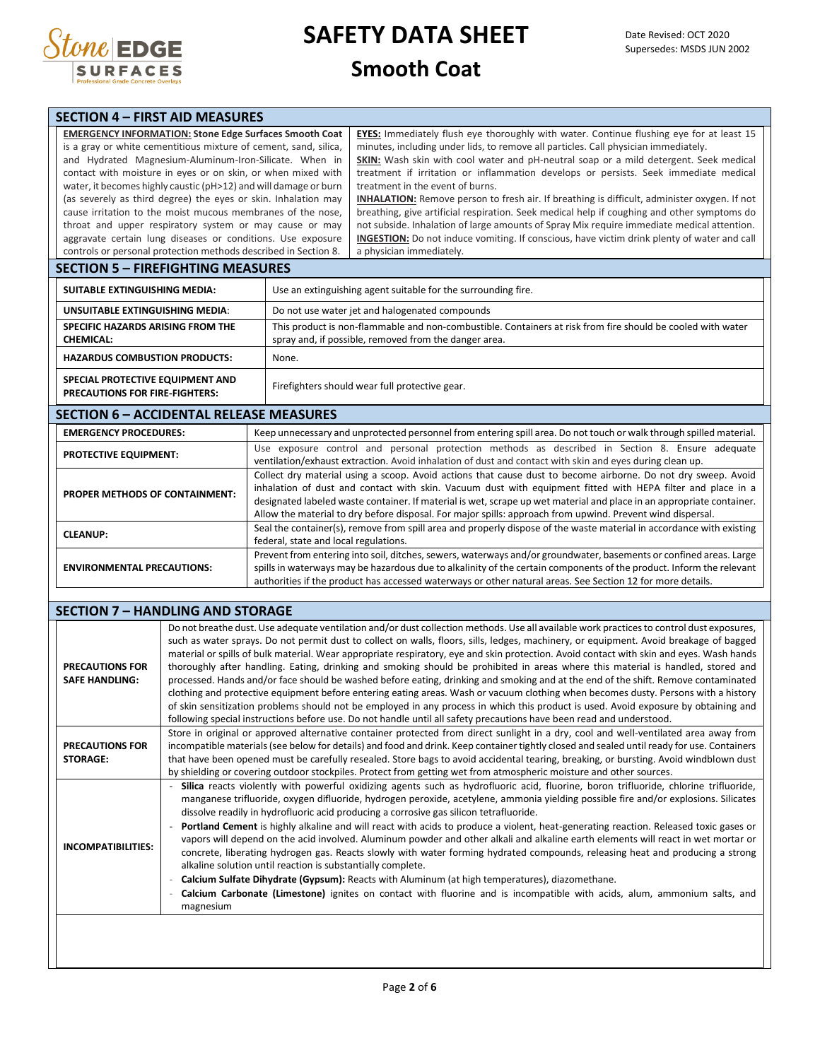

| <b>SECTION 4 – FIRST AID MEASURES</b>                              |                                                                                                                                                                                                                                                                                                                                                                                                                                                                                                                                                                                                                                                                                                                                                                                                                                                                                                                                                                                                                                                                                                                                                                                                                                                                                                                                                                                                                                                                                 |                                                                                                                                                                      |  |  |  |  |
|--------------------------------------------------------------------|---------------------------------------------------------------------------------------------------------------------------------------------------------------------------------------------------------------------------------------------------------------------------------------------------------------------------------------------------------------------------------------------------------------------------------------------------------------------------------------------------------------------------------------------------------------------------------------------------------------------------------------------------------------------------------------------------------------------------------------------------------------------------------------------------------------------------------------------------------------------------------------------------------------------------------------------------------------------------------------------------------------------------------------------------------------------------------------------------------------------------------------------------------------------------------------------------------------------------------------------------------------------------------------------------------------------------------------------------------------------------------------------------------------------------------------------------------------------------------|----------------------------------------------------------------------------------------------------------------------------------------------------------------------|--|--|--|--|
| <b>EMERGENCY INFORMATION: Stone Edge Surfaces Smooth Coat</b>      | EYES: Immediately flush eye thoroughly with water. Continue flushing eye for at least 15<br>is a gray or white cementitious mixture of cement, sand, silica,<br>minutes, including under lids, to remove all particles. Call physician immediately.<br>and Hydrated Magnesium-Aluminum-Iron-Silicate. When in<br>SKIN: Wash skin with cool water and pH-neutral soap or a mild detergent. Seek medical<br>treatment if irritation or inflammation develops or persists. Seek immediate medical<br>contact with moisture in eyes or on skin, or when mixed with<br>water, it becomes highly caustic (pH>12) and will damage or burn<br>treatment in the event of burns.<br>(as severely as third degree) the eyes or skin. Inhalation may<br><b>INHALATION:</b> Remove person to fresh air. If breathing is difficult, administer oxygen. If not<br>breathing, give artificial respiration. Seek medical help if coughing and other symptoms do<br>cause irritation to the moist mucous membranes of the nose,<br>not subside. Inhalation of large amounts of Spray Mix require immediate medical attention.<br>throat and upper respiratory system or may cause or may<br>aggravate certain lung diseases or conditions. Use exposure<br>INGESTION: Do not induce vomiting. If conscious, have victim drink plenty of water and call<br>controls or personal protection methods described in Section 8.<br>a physician immediately.<br><b>SECTION 5 - FIREFIGHTING MEASURES</b> |                                                                                                                                                                      |  |  |  |  |
|                                                                    |                                                                                                                                                                                                                                                                                                                                                                                                                                                                                                                                                                                                                                                                                                                                                                                                                                                                                                                                                                                                                                                                                                                                                                                                                                                                                                                                                                                                                                                                                 |                                                                                                                                                                      |  |  |  |  |
| <b>SUITABLE EXTINGUISHING MEDIA:</b>                               |                                                                                                                                                                                                                                                                                                                                                                                                                                                                                                                                                                                                                                                                                                                                                                                                                                                                                                                                                                                                                                                                                                                                                                                                                                                                                                                                                                                                                                                                                 | Use an extinguishing agent suitable for the surrounding fire.                                                                                                        |  |  |  |  |
| UNSUITABLE EXTINGUISHING MEDIA:                                    | Do not use water jet and halogenated compounds                                                                                                                                                                                                                                                                                                                                                                                                                                                                                                                                                                                                                                                                                                                                                                                                                                                                                                                                                                                                                                                                                                                                                                                                                                                                                                                                                                                                                                  |                                                                                                                                                                      |  |  |  |  |
| <b>SPECIFIC HAZARDS ARISING FROM THE</b><br><b>CHEMICAL:</b>       |                                                                                                                                                                                                                                                                                                                                                                                                                                                                                                                                                                                                                                                                                                                                                                                                                                                                                                                                                                                                                                                                                                                                                                                                                                                                                                                                                                                                                                                                                 | This product is non-flammable and non-combustible. Containers at risk from fire should be cooled with water<br>spray and, if possible, removed from the danger area. |  |  |  |  |
| <b>HAZARDUS COMBUSTION PRODUCTS:</b>                               | None.                                                                                                                                                                                                                                                                                                                                                                                                                                                                                                                                                                                                                                                                                                                                                                                                                                                                                                                                                                                                                                                                                                                                                                                                                                                                                                                                                                                                                                                                           |                                                                                                                                                                      |  |  |  |  |
| SPECIAL PROTECTIVE EQUIPMENT AND<br>PRECAUTIONS FOR FIRE-FIGHTERS: |                                                                                                                                                                                                                                                                                                                                                                                                                                                                                                                                                                                                                                                                                                                                                                                                                                                                                                                                                                                                                                                                                                                                                                                                                                                                                                                                                                                                                                                                                 | Firefighters should wear full protective gear.                                                                                                                       |  |  |  |  |
| <b>SECTION 6 - ACCIDENTAL RELEASE MEASURES</b>                     |                                                                                                                                                                                                                                                                                                                                                                                                                                                                                                                                                                                                                                                                                                                                                                                                                                                                                                                                                                                                                                                                                                                                                                                                                                                                                                                                                                                                                                                                                 |                                                                                                                                                                      |  |  |  |  |
| <b>EMEDCEMCY DOOCEDUDEC.</b>                                       |                                                                                                                                                                                                                                                                                                                                                                                                                                                                                                                                                                                                                                                                                                                                                                                                                                                                                                                                                                                                                                                                                                                                                                                                                                                                                                                                                                                                                                                                                 | Keep unnecessary and unnretacted nersennel from entering spill area. De not touch ex walk through spilled material                                                   |  |  |  |  |

| <b>EMERGENCY PROCEDURES:</b>          | Keep unnecessary and unprotected personnel from entering spill area. Do not touch or walk through spilled material.                                                                                                                                                                                                                                                                                                                                                 |
|---------------------------------------|---------------------------------------------------------------------------------------------------------------------------------------------------------------------------------------------------------------------------------------------------------------------------------------------------------------------------------------------------------------------------------------------------------------------------------------------------------------------|
| <b>PROTECTIVE EQUIPMENT:</b>          | Use exposure control and personal protection methods as described in Section 8. Ensure adequate<br>ventilation/exhaust extraction. Avoid inhalation of dust and contact with skin and eyes during clean up.                                                                                                                                                                                                                                                         |
| <b>PROPER METHODS OF CONTAINMENT:</b> | Collect dry material using a scoop. Avoid actions that cause dust to become airborne. Do not dry sweep. Avoid<br>inhalation of dust and contact with skin. Vacuum dust with equipment fitted with HEPA filter and place in a<br>designated labeled waste container. If material is wet, scrape up wet material and place in an appropriate container.<br>Allow the material to dry before disposal. For major spills: approach from upwind. Prevent wind dispersal. |
| <b>CLEANUP:</b>                       | Seal the container(s), remove from spill area and properly dispose of the waste material in accordance with existing<br>federal, state and local regulations.                                                                                                                                                                                                                                                                                                       |
| <b>ENVIRONMENTAL PRECAUTIONS:</b>     | Prevent from entering into soil, ditches, sewers, waterways and/or groundwater, basements or confined areas. Large<br>spills in waterways may be hazardous due to alkalinity of the certain components of the product. Inform the relevant<br>authorities if the product has accessed waterways or other natural areas. See Section 12 for more details.                                                                                                            |

|                                                 | <b>SECTION 7 - HANDLING AND STORAGE</b>                                                                                                                                                                                                                                                                                                                                                                                                                                                                                                                                                                                                                                                                                                                                                                                                                                                                                                                                                                                                                                                                        |
|-------------------------------------------------|----------------------------------------------------------------------------------------------------------------------------------------------------------------------------------------------------------------------------------------------------------------------------------------------------------------------------------------------------------------------------------------------------------------------------------------------------------------------------------------------------------------------------------------------------------------------------------------------------------------------------------------------------------------------------------------------------------------------------------------------------------------------------------------------------------------------------------------------------------------------------------------------------------------------------------------------------------------------------------------------------------------------------------------------------------------------------------------------------------------|
| <b>PRECAUTIONS FOR</b><br><b>SAFE HANDLING:</b> | Do not breathe dust. Use adequate ventilation and/or dust collection methods. Use all available work practices to control dust exposures,<br>such as water sprays. Do not permit dust to collect on walls, floors, sills, ledges, machinery, or equipment. Avoid breakage of bagged<br>material or spills of bulk material. Wear appropriate respiratory, eye and skin protection. Avoid contact with skin and eyes. Wash hands<br>thoroughly after handling. Eating, drinking and smoking should be prohibited in areas where this material is handled, stored and<br>processed. Hands and/or face should be washed before eating, drinking and smoking and at the end of the shift. Remove contaminated<br>clothing and protective equipment before entering eating areas. Wash or vacuum clothing when becomes dusty. Persons with a history<br>of skin sensitization problems should not be employed in any process in which this product is used. Avoid exposure by obtaining and<br>following special instructions before use. Do not handle until all safety precautions have been read and understood. |
| <b>PRECAUTIONS FOR</b><br><b>STORAGE:</b>       | Store in original or approved alternative container protected from direct sunlight in a dry, cool and well-ventilated area away from<br>incompatible materials (see below for details) and food and drink. Keep container tightly closed and sealed until ready for use. Containers<br>that have been opened must be carefully resealed. Store bags to avoid accidental tearing, breaking, or bursting. Avoid windblown dust<br>by shielding or covering outdoor stockpiles. Protect from getting wet from atmospheric moisture and other sources.                                                                                                                                                                                                                                                                                                                                                                                                                                                                                                                                                             |
| <b>INCOMPATIBILITIES:</b>                       | Silica reacts violently with powerful oxidizing agents such as hydrofluoric acid, fluorine, boron trifluoride, chlorine trifluoride,<br>manganese trifluoride, oxygen difluoride, hydrogen peroxide, acetylene, ammonia yielding possible fire and/or explosions. Silicates<br>dissolve readily in hydrofluoric acid producing a corrosive gas silicon tetrafluoride.<br>Portland Cement is highly alkaline and will react with acids to produce a violent, heat-generating reaction. Released toxic gases or<br>vapors will depend on the acid involved. Aluminum powder and other alkali and alkaline earth elements will react in wet mortar or<br>concrete, liberating hydrogen gas. Reacts slowly with water forming hydrated compounds, releasing heat and producing a strong<br>alkaline solution until reaction is substantially complete.<br>Calcium Sulfate Dihydrate (Gypsum): Reacts with Aluminum (at high temperatures), diazomethane.<br>Calcium Carbonate (Limestone) ignites on contact with fluorine and is incompatible with acids, alum, ammonium salts, and<br>magnesium                  |
|                                                 |                                                                                                                                                                                                                                                                                                                                                                                                                                                                                                                                                                                                                                                                                                                                                                                                                                                                                                                                                                                                                                                                                                                |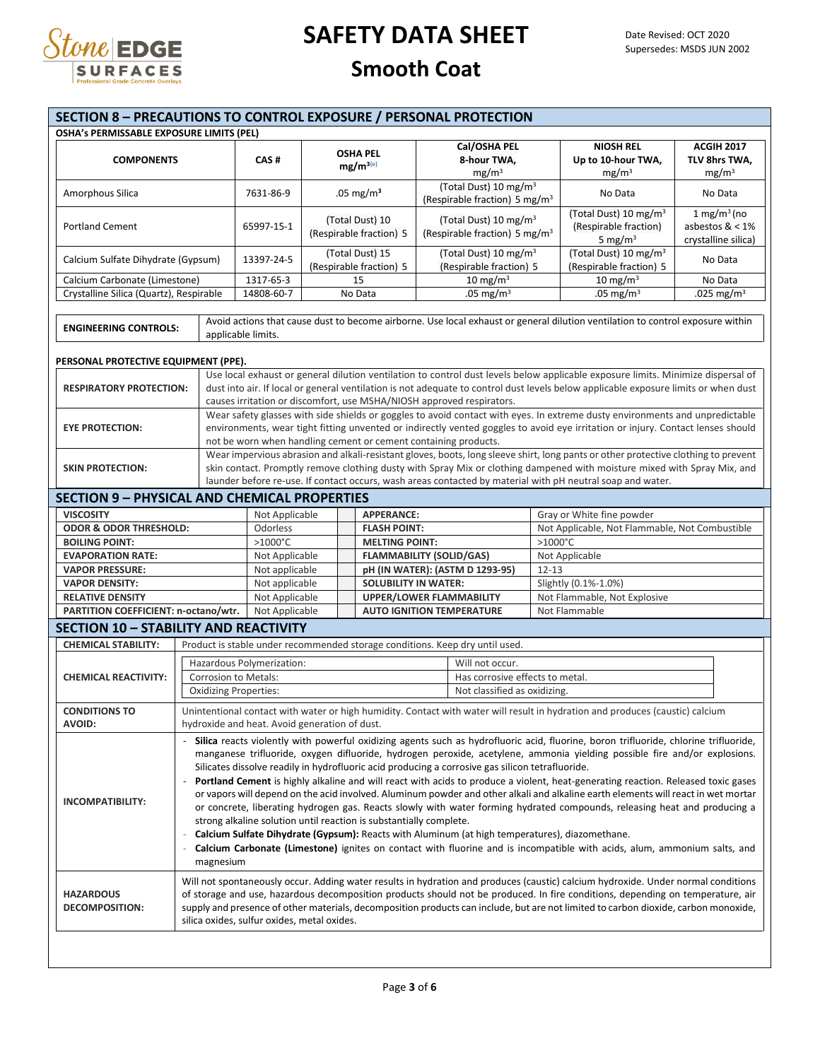

| <b>SECTION 8 - PRECAUTIONS TO CONTROL EXPOSURE / PERSONAL PROTECTION</b> |                                                                                                                                                                                                                                                                                                                                                                                                                                                                                                                                                                                                                                                                                                                                                                                                                                                                                                                                                      |                                               |                                            |                                                                       |                                 |                                                                                |                   |                                                                                                                                                                                                                                                                 |                                                           |
|--------------------------------------------------------------------------|------------------------------------------------------------------------------------------------------------------------------------------------------------------------------------------------------------------------------------------------------------------------------------------------------------------------------------------------------------------------------------------------------------------------------------------------------------------------------------------------------------------------------------------------------------------------------------------------------------------------------------------------------------------------------------------------------------------------------------------------------------------------------------------------------------------------------------------------------------------------------------------------------------------------------------------------------|-----------------------------------------------|--------------------------------------------|-----------------------------------------------------------------------|---------------------------------|--------------------------------------------------------------------------------|-------------------|-----------------------------------------------------------------------------------------------------------------------------------------------------------------------------------------------------------------------------------------------------------------|-----------------------------------------------------------|
| OSHA's PERMISSABLE EXPOSURE LIMITS (PEL)                                 |                                                                                                                                                                                                                                                                                                                                                                                                                                                                                                                                                                                                                                                                                                                                                                                                                                                                                                                                                      |                                               |                                            |                                                                       |                                 |                                                                                |                   |                                                                                                                                                                                                                                                                 |                                                           |
| <b>COMPONENTS</b>                                                        |                                                                                                                                                                                                                                                                                                                                                                                                                                                                                                                                                                                                                                                                                                                                                                                                                                                                                                                                                      | CAS#                                          |                                            | <b>OSHA PEL</b><br>$mg/m^{3(e)}$                                      |                                 | Cal/OSHA PEL<br>8-hour TWA,<br>mg/m <sup>3</sup>                               |                   | <b>NIOSH REL</b><br>Up to 10-hour TWA,<br>mg/m <sup>3</sup>                                                                                                                                                                                                     | <b>ACGIH 2017</b><br>TLV 8hrs TWA,<br>mg/m <sup>3</sup>   |
| Amorphous Silica                                                         |                                                                                                                                                                                                                                                                                                                                                                                                                                                                                                                                                                                                                                                                                                                                                                                                                                                                                                                                                      | 7631-86-9                                     | .05 mg/ $m3$                               |                                                                       |                                 | (Total Dust) 10 mg/m <sup>3</sup><br>(Respirable fraction) 5 mg/m <sup>3</sup> |                   | No Data                                                                                                                                                                                                                                                         | No Data                                                   |
| <b>Portland Cement</b>                                                   |                                                                                                                                                                                                                                                                                                                                                                                                                                                                                                                                                                                                                                                                                                                                                                                                                                                                                                                                                      | 65997-15-1                                    | (Total Dust) 10<br>(Respirable fraction) 5 |                                                                       |                                 | (Total Dust) 10 mg/m <sup>3</sup><br>(Respirable fraction) 5 mg/m <sup>3</sup> |                   | (Total Dust) 10 mg/m <sup>3</sup><br>(Respirable fraction)<br>5 mg/m $3$                                                                                                                                                                                        | 1 mg/m $3$ (no<br>asbestos $< 1\%$<br>crystalline silica) |
| Calcium Sulfate Dihydrate (Gypsum)                                       |                                                                                                                                                                                                                                                                                                                                                                                                                                                                                                                                                                                                                                                                                                                                                                                                                                                                                                                                                      | 13397-24-5                                    | (Total Dust) 15<br>(Respirable fraction) 5 |                                                                       |                                 | (Total Dust) 10 mg/m <sup>3</sup><br>(Respirable fraction) 5                   |                   | (Total Dust) 10 mg/m <sup>3</sup><br>(Respirable fraction) 5                                                                                                                                                                                                    | No Data                                                   |
| Calcium Carbonate (Limestone)                                            |                                                                                                                                                                                                                                                                                                                                                                                                                                                                                                                                                                                                                                                                                                                                                                                                                                                                                                                                                      | 1317-65-3                                     |                                            | 15                                                                    |                                 | $10 \text{ mg/m}^3$                                                            |                   | $10 \text{ mg/m}^3$                                                                                                                                                                                                                                             | No Data                                                   |
| Crystalline Silica (Quartz), Respirable                                  |                                                                                                                                                                                                                                                                                                                                                                                                                                                                                                                                                                                                                                                                                                                                                                                                                                                                                                                                                      | 14808-60-7                                    |                                            | No Data                                                               |                                 | .05 mg/m <sup>3</sup>                                                          |                   | .05 mg/m <sup>3</sup>                                                                                                                                                                                                                                           | .025 mg/m <sup>3</sup>                                    |
| <b>ENGINEERING CONTROLS:</b>                                             |                                                                                                                                                                                                                                                                                                                                                                                                                                                                                                                                                                                                                                                                                                                                                                                                                                                                                                                                                      | applicable limits.                            |                                            |                                                                       |                                 |                                                                                |                   | Avoid actions that cause dust to become airborne. Use local exhaust or general dilution ventilation to control exposure within                                                                                                                                  |                                                           |
| PERSONAL PROTECTIVE EQUIPMENT (PPE).                                     |                                                                                                                                                                                                                                                                                                                                                                                                                                                                                                                                                                                                                                                                                                                                                                                                                                                                                                                                                      |                                               |                                            |                                                                       |                                 |                                                                                |                   |                                                                                                                                                                                                                                                                 |                                                           |
|                                                                          |                                                                                                                                                                                                                                                                                                                                                                                                                                                                                                                                                                                                                                                                                                                                                                                                                                                                                                                                                      |                                               |                                            |                                                                       |                                 |                                                                                |                   | Use local exhaust or general dilution ventilation to control dust levels below applicable exposure limits. Minimize dispersal of                                                                                                                                |                                                           |
| <b>RESPIRATORY PROTECTION:</b>                                           |                                                                                                                                                                                                                                                                                                                                                                                                                                                                                                                                                                                                                                                                                                                                                                                                                                                                                                                                                      |                                               |                                            |                                                                       |                                 |                                                                                |                   | dust into air. If local or general ventilation is not adequate to control dust levels below applicable exposure limits or when dust                                                                                                                             |                                                           |
|                                                                          |                                                                                                                                                                                                                                                                                                                                                                                                                                                                                                                                                                                                                                                                                                                                                                                                                                                                                                                                                      |                                               |                                            | causes irritation or discomfort, use MSHA/NIOSH approved respirators. |                                 |                                                                                |                   |                                                                                                                                                                                                                                                                 |                                                           |
| <b>EYE PROTECTION:</b>                                                   |                                                                                                                                                                                                                                                                                                                                                                                                                                                                                                                                                                                                                                                                                                                                                                                                                                                                                                                                                      |                                               |                                            |                                                                       |                                 |                                                                                |                   | Wear safety glasses with side shields or goggles to avoid contact with eyes. In extreme dusty environments and unpredictable<br>environments, wear tight fitting unvented or indirectly vented goggles to avoid eye irritation or injury. Contact lenses should |                                                           |
|                                                                          |                                                                                                                                                                                                                                                                                                                                                                                                                                                                                                                                                                                                                                                                                                                                                                                                                                                                                                                                                      |                                               |                                            | not be worn when handling cement or cement containing products.       |                                 |                                                                                |                   |                                                                                                                                                                                                                                                                 |                                                           |
| <b>SKIN PROTECTION:</b>                                                  |                                                                                                                                                                                                                                                                                                                                                                                                                                                                                                                                                                                                                                                                                                                                                                                                                                                                                                                                                      |                                               |                                            |                                                                       |                                 |                                                                                |                   | Wear impervious abrasion and alkali-resistant gloves, boots, long sleeve shirt, long pants or other protective clothing to prevent<br>skin contact. Promptly remove clothing dusty with Spray Mix or clothing dampened with moisture mixed with Spray Mix, and  |                                                           |
|                                                                          |                                                                                                                                                                                                                                                                                                                                                                                                                                                                                                                                                                                                                                                                                                                                                                                                                                                                                                                                                      |                                               |                                            |                                                                       |                                 |                                                                                |                   | launder before re-use. If contact occurs, wash areas contacted by material with pH neutral soap and water.                                                                                                                                                      |                                                           |
| <b>SECTION 9 - PHYSICAL AND CHEMICAL PROPERTIES</b>                      |                                                                                                                                                                                                                                                                                                                                                                                                                                                                                                                                                                                                                                                                                                                                                                                                                                                                                                                                                      |                                               |                                            |                                                                       |                                 |                                                                                |                   |                                                                                                                                                                                                                                                                 |                                                           |
|                                                                          |                                                                                                                                                                                                                                                                                                                                                                                                                                                                                                                                                                                                                                                                                                                                                                                                                                                                                                                                                      |                                               |                                            |                                                                       |                                 |                                                                                |                   |                                                                                                                                                                                                                                                                 |                                                           |
| <b>VISCOSITY</b>                                                         |                                                                                                                                                                                                                                                                                                                                                                                                                                                                                                                                                                                                                                                                                                                                                                                                                                                                                                                                                      | Not Applicable<br><b>APPERANCE:</b>           |                                            |                                                                       |                                 |                                                                                |                   | Gray or White fine powder                                                                                                                                                                                                                                       |                                                           |
| <b>ODOR &amp; ODOR THRESHOLD:</b>                                        |                                                                                                                                                                                                                                                                                                                                                                                                                                                                                                                                                                                                                                                                                                                                                                                                                                                                                                                                                      | Odorless<br>$>1000^{\circ}$ C                 |                                            | <b>FLASH POINT:</b>                                                   |                                 |                                                                                | $>1000^{\circ}$ C | Not Applicable, Not Flammable, Not Combustible                                                                                                                                                                                                                  |                                                           |
| <b>BOILING POINT:</b>                                                    |                                                                                                                                                                                                                                                                                                                                                                                                                                                                                                                                                                                                                                                                                                                                                                                                                                                                                                                                                      |                                               |                                            | <b>MELTING POINT:</b>                                                 |                                 | <b>FLAMMABILITY (SOLID/GAS)</b>                                                |                   |                                                                                                                                                                                                                                                                 |                                                           |
| <b>EVAPORATION RATE:</b><br><b>VAPOR PRESSURE:</b>                       |                                                                                                                                                                                                                                                                                                                                                                                                                                                                                                                                                                                                                                                                                                                                                                                                                                                                                                                                                      | Not Applicable                                | Not applicable                             |                                                                       | pH (IN WATER): (ASTM D 1293-95) |                                                                                | $12 - 13$         | Not Applicable                                                                                                                                                                                                                                                  |                                                           |
| <b>VAPOR DENSITY:</b>                                                    |                                                                                                                                                                                                                                                                                                                                                                                                                                                                                                                                                                                                                                                                                                                                                                                                                                                                                                                                                      | Not applicable                                |                                            |                                                                       | <b>SOLUBILITY IN WATER:</b>     |                                                                                |                   | Slightly (0.1%-1.0%)                                                                                                                                                                                                                                            |                                                           |
| <b>RELATIVE DENSITY</b>                                                  |                                                                                                                                                                                                                                                                                                                                                                                                                                                                                                                                                                                                                                                                                                                                                                                                                                                                                                                                                      | Not Applicable                                |                                            |                                                                       | <b>UPPER/LOWER FLAMMABILITY</b> |                                                                                |                   | Not Flammable, Not Explosive                                                                                                                                                                                                                                    |                                                           |
| PARTITION COEFFICIENT: n-octano/wtr.                                     |                                                                                                                                                                                                                                                                                                                                                                                                                                                                                                                                                                                                                                                                                                                                                                                                                                                                                                                                                      | Not Applicable                                |                                            | <b>AUTO IGNITION TEMPERATURE</b>                                      |                                 |                                                                                |                   | Not Flammable                                                                                                                                                                                                                                                   |                                                           |
| <b>SECTION 10 - STABILITY AND REACTIVITY</b>                             |                                                                                                                                                                                                                                                                                                                                                                                                                                                                                                                                                                                                                                                                                                                                                                                                                                                                                                                                                      |                                               |                                            |                                                                       |                                 |                                                                                |                   |                                                                                                                                                                                                                                                                 |                                                           |
| <b>CHEMICAL STABILITY:</b>                                               |                                                                                                                                                                                                                                                                                                                                                                                                                                                                                                                                                                                                                                                                                                                                                                                                                                                                                                                                                      |                                               |                                            |                                                                       |                                 | Product is stable under recommended storage conditions. Keep dry until used.   |                   |                                                                                                                                                                                                                                                                 |                                                           |
|                                                                          |                                                                                                                                                                                                                                                                                                                                                                                                                                                                                                                                                                                                                                                                                                                                                                                                                                                                                                                                                      |                                               |                                            |                                                                       |                                 |                                                                                |                   |                                                                                                                                                                                                                                                                 |                                                           |
| <b>CHEMICAL REACTIVITY:</b>                                              | Hazardous Polymerization:<br>Will not occur.                                                                                                                                                                                                                                                                                                                                                                                                                                                                                                                                                                                                                                                                                                                                                                                                                                                                                                         |                                               |                                            |                                                                       |                                 |                                                                                |                   |                                                                                                                                                                                                                                                                 |                                                           |
|                                                                          | Corrosion to Metals:<br><b>Oxidizing Properties:</b>                                                                                                                                                                                                                                                                                                                                                                                                                                                                                                                                                                                                                                                                                                                                                                                                                                                                                                 |                                               |                                            |                                                                       |                                 | Has corrosive effects to metal.<br>Not classified as oxidizing.                |                   |                                                                                                                                                                                                                                                                 |                                                           |
|                                                                          |                                                                                                                                                                                                                                                                                                                                                                                                                                                                                                                                                                                                                                                                                                                                                                                                                                                                                                                                                      |                                               |                                            |                                                                       |                                 |                                                                                |                   |                                                                                                                                                                                                                                                                 |                                                           |
| <b>CONDITIONS TO</b>                                                     |                                                                                                                                                                                                                                                                                                                                                                                                                                                                                                                                                                                                                                                                                                                                                                                                                                                                                                                                                      |                                               |                                            |                                                                       |                                 |                                                                                |                   | Unintentional contact with water or high humidity. Contact with water will result in hydration and produces (caustic) calcium                                                                                                                                   |                                                           |
| <b>AVOID:</b>                                                            |                                                                                                                                                                                                                                                                                                                                                                                                                                                                                                                                                                                                                                                                                                                                                                                                                                                                                                                                                      | hydroxide and heat. Avoid generation of dust. |                                            |                                                                       |                                 |                                                                                |                   |                                                                                                                                                                                                                                                                 |                                                           |
| <b>INCOMPATIBILITY:</b>                                                  | Silica reacts violently with powerful oxidizing agents such as hydrofluoric acid, fluorine, boron trifluoride, chlorine trifluoride,<br>manganese trifluoride, oxygen difluoride, hydrogen peroxide, acetylene, ammonia yielding possible fire and/or explosions.<br>Silicates dissolve readily in hydrofluoric acid producing a corrosive gas silicon tetrafluoride.<br>Portland Cement is highly alkaline and will react with acids to produce a violent, heat-generating reaction. Released toxic gases<br>or vapors will depend on the acid involved. Aluminum powder and other alkali and alkaline earth elements will react in wet mortar<br>or concrete, liberating hydrogen gas. Reacts slowly with water forming hydrated compounds, releasing heat and producing a<br>strong alkaline solution until reaction is substantially complete.<br>Calcium Sulfate Dihydrate (Gypsum): Reacts with Aluminum (at high temperatures), diazomethane. |                                               |                                            |                                                                       |                                 |                                                                                |                   |                                                                                                                                                                                                                                                                 |                                                           |
| <b>HAZARDOUS</b><br><b>DECOMPOSITION:</b>                                | Calcium Carbonate (Limestone) ignites on contact with fluorine and is incompatible with acids, alum, ammonium salts, and<br>magnesium<br>Will not spontaneously occur. Adding water results in hydration and produces (caustic) calcium hydroxide. Under normal conditions<br>of storage and use, hazardous decomposition products should not be produced. In fire conditions, depending on temperature, air<br>supply and presence of other materials, decomposition products can include, but are not limited to carbon dioxide, carbon monoxide,<br>silica oxides, sulfur oxides, metal oxides.                                                                                                                                                                                                                                                                                                                                                   |                                               |                                            |                                                                       |                                 |                                                                                |                   |                                                                                                                                                                                                                                                                 |                                                           |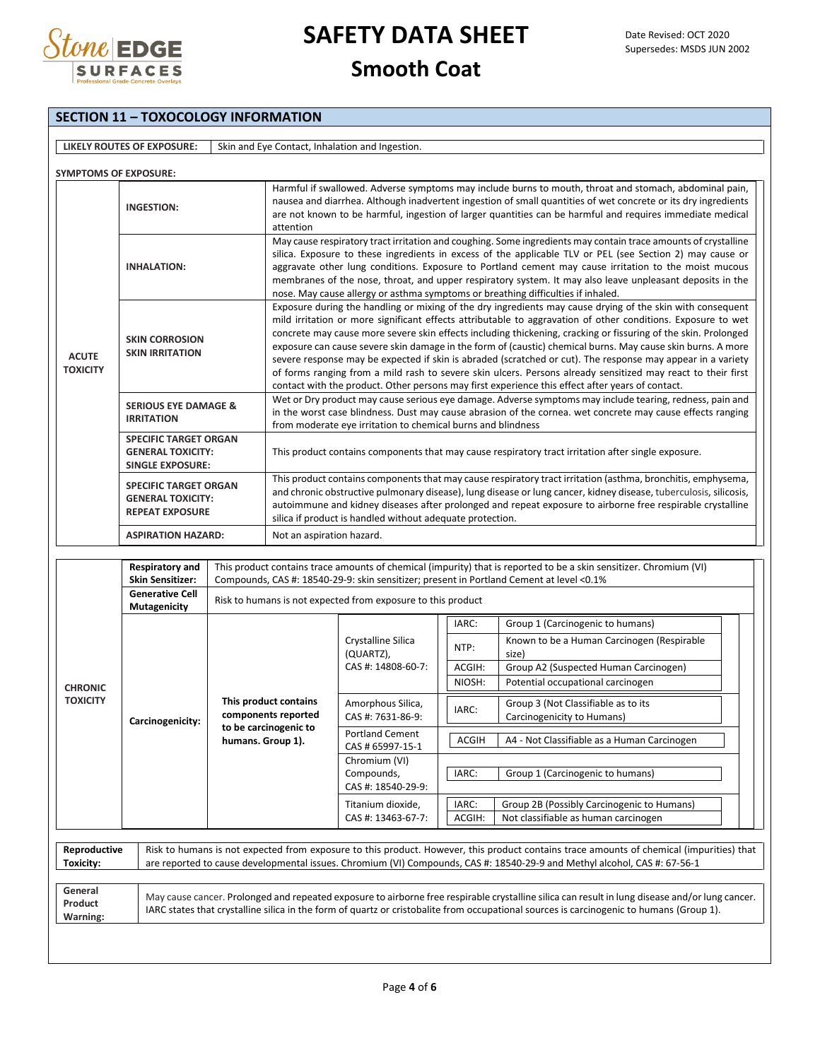

|                                 | <b>SECTION 11 - TOXOCOLOGY INFORMATION</b>                                                                                                                                |                   |                                                                                                                                                                                                                                                                                                                                                                                                                                                                                                                                                                                                                                                                                                                                                                                                |                                                              |                                                                                                       |                                                                                                                                                                                                                                                                                             |  |  |  |
|---------------------------------|---------------------------------------------------------------------------------------------------------------------------------------------------------------------------|-------------------|------------------------------------------------------------------------------------------------------------------------------------------------------------------------------------------------------------------------------------------------------------------------------------------------------------------------------------------------------------------------------------------------------------------------------------------------------------------------------------------------------------------------------------------------------------------------------------------------------------------------------------------------------------------------------------------------------------------------------------------------------------------------------------------------|--------------------------------------------------------------|-------------------------------------------------------------------------------------------------------|---------------------------------------------------------------------------------------------------------------------------------------------------------------------------------------------------------------------------------------------------------------------------------------------|--|--|--|
|                                 |                                                                                                                                                                           |                   |                                                                                                                                                                                                                                                                                                                                                                                                                                                                                                                                                                                                                                                                                                                                                                                                |                                                              |                                                                                                       |                                                                                                                                                                                                                                                                                             |  |  |  |
|                                 | LIKELY ROUTES OF EXPOSURE:                                                                                                                                                |                   |                                                                                                                                                                                                                                                                                                                                                                                                                                                                                                                                                                                                                                                                                                                                                                                                | Skin and Eye Contact, Inhalation and Ingestion.              |                                                                                                       |                                                                                                                                                                                                                                                                                             |  |  |  |
| <b>SYMPTOMS OF EXPOSURE:</b>    |                                                                                                                                                                           |                   |                                                                                                                                                                                                                                                                                                                                                                                                                                                                                                                                                                                                                                                                                                                                                                                                |                                                              |                                                                                                       |                                                                                                                                                                                                                                                                                             |  |  |  |
|                                 | INGESTION:<br><b>INHALATION:</b><br><b>SKIN CORROSION</b><br><b>SKIN IRRITATION</b>                                                                                       |                   | Harmful if swallowed. Adverse symptoms may include burns to mouth, throat and stomach, abdominal pain,<br>nausea and diarrhea. Although inadvertent ingestion of small quantities of wet concrete or its dry ingredients<br>are not known to be harmful, ingestion of larger quantities can be harmful and requires immediate medical<br>attention                                                                                                                                                                                                                                                                                                                                                                                                                                             |                                                              |                                                                                                       |                                                                                                                                                                                                                                                                                             |  |  |  |
|                                 |                                                                                                                                                                           |                   | May cause respiratory tract irritation and coughing. Some ingredients may contain trace amounts of crystalline<br>silica. Exposure to these ingredients in excess of the applicable TLV or PEL (see Section 2) may cause or<br>aggravate other lung conditions. Exposure to Portland cement may cause irritation to the moist mucous<br>membranes of the nose, throat, and upper respiratory system. It may also leave unpleasant deposits in the<br>nose. May cause allergy or asthma symptoms or breathing difficulties if inhaled.                                                                                                                                                                                                                                                          |                                                              |                                                                                                       |                                                                                                                                                                                                                                                                                             |  |  |  |
| <b>ACUTE</b><br><b>TOXICITY</b> |                                                                                                                                                                           |                   | Exposure during the handling or mixing of the dry ingredients may cause drying of the skin with consequent<br>mild irritation or more significant effects attributable to aggravation of other conditions. Exposure to wet<br>concrete may cause more severe skin effects including thickening, cracking or fissuring of the skin. Prolonged<br>exposure can cause severe skin damage in the form of (caustic) chemical burns. May cause skin burns. A more<br>severe response may be expected if skin is abraded (scratched or cut). The response may appear in a variety<br>of forms ranging from a mild rash to severe skin ulcers. Persons already sensitized may react to their first<br>contact with the product. Other persons may first experience this effect after years of contact. |                                                              |                                                                                                       |                                                                                                                                                                                                                                                                                             |  |  |  |
|                                 | <b>SERIOUS EYE DAMAGE &amp;</b><br><b>IRRITATION</b>                                                                                                                      |                   |                                                                                                                                                                                                                                                                                                                                                                                                                                                                                                                                                                                                                                                                                                                                                                                                | from moderate eye irritation to chemical burns and blindness |                                                                                                       | Wet or Dry product may cause serious eye damage. Adverse symptoms may include tearing, redness, pain and<br>in the worst case blindness. Dust may cause abrasion of the cornea. wet concrete may cause effects ranging                                                                      |  |  |  |
|                                 | <b>SPECIFIC TARGET ORGAN</b><br><b>GENERAL TOXICITY:</b><br><b>SINGLE EXPOSURE:</b><br><b>SPECIFIC TARGET ORGAN</b><br><b>GENERAL TOXICITY:</b><br><b>REPEAT EXPOSURE</b> |                   | This product contains components that may cause respiratory tract irritation after single exposure.                                                                                                                                                                                                                                                                                                                                                                                                                                                                                                                                                                                                                                                                                            |                                                              |                                                                                                       |                                                                                                                                                                                                                                                                                             |  |  |  |
|                                 |                                                                                                                                                                           |                   | This product contains components that may cause respiratory tract irritation (asthma, bronchitis, emphysema,<br>and chronic obstructive pulmonary disease), lung disease or lung cancer, kidney disease, tuberculosis, silicosis,<br>autoimmune and kidney diseases after prolonged and repeat exposure to airborne free respirable crystalline<br>silica if product is handled without adequate protection.                                                                                                                                                                                                                                                                                                                                                                                   |                                                              |                                                                                                       |                                                                                                                                                                                                                                                                                             |  |  |  |
|                                 | <b>ASPIRATION HAZARD:</b>                                                                                                                                                 |                   | Not an aspiration hazard.                                                                                                                                                                                                                                                                                                                                                                                                                                                                                                                                                                                                                                                                                                                                                                      |                                                              |                                                                                                       |                                                                                                                                                                                                                                                                                             |  |  |  |
|                                 |                                                                                                                                                                           |                   |                                                                                                                                                                                                                                                                                                                                                                                                                                                                                                                                                                                                                                                                                                                                                                                                |                                                              |                                                                                                       |                                                                                                                                                                                                                                                                                             |  |  |  |
|                                 | <b>Respiratory and</b>                                                                                                                                                    |                   | This product contains trace amounts of chemical (impurity) that is reported to be a skin sensitizer. Chromium (VI)                                                                                                                                                                                                                                                                                                                                                                                                                                                                                                                                                                                                                                                                             |                                                              |                                                                                                       |                                                                                                                                                                                                                                                                                             |  |  |  |
|                                 | <b>Skin Sensitizer:</b><br><b>Generative Cell</b>                                                                                                                         |                   | Compounds, CAS #: 18540-29-9: skin sensitizer; present in Portland Cement at level <0.1%                                                                                                                                                                                                                                                                                                                                                                                                                                                                                                                                                                                                                                                                                                       |                                                              |                                                                                                       |                                                                                                                                                                                                                                                                                             |  |  |  |
|                                 | <b>Mutagenicity</b>                                                                                                                                                       |                   |                                                                                                                                                                                                                                                                                                                                                                                                                                                                                                                                                                                                                                                                                                                                                                                                | Risk to humans is not expected from exposure to this product |                                                                                                       |                                                                                                                                                                                                                                                                                             |  |  |  |
|                                 |                                                                                                                                                                           |                   |                                                                                                                                                                                                                                                                                                                                                                                                                                                                                                                                                                                                                                                                                                                                                                                                |                                                              | IARC:                                                                                                 | Group 1 (Carcinogenic to humans)                                                                                                                                                                                                                                                            |  |  |  |
|                                 |                                                                                                                                                                           |                   |                                                                                                                                                                                                                                                                                                                                                                                                                                                                                                                                                                                                                                                                                                                                                                                                | Crystalline Silica<br>(QUARTZ),<br>CAS #: 14808-60-7:        | NTP:                                                                                                  | Known to be a Human Carcinogen (Respirable<br>size)                                                                                                                                                                                                                                         |  |  |  |
|                                 |                                                                                                                                                                           |                   |                                                                                                                                                                                                                                                                                                                                                                                                                                                                                                                                                                                                                                                                                                                                                                                                |                                                              | ACGIH:                                                                                                | Group A2 (Suspected Human Carcinogen)                                                                                                                                                                                                                                                       |  |  |  |
| <b>CHRONIC</b>                  |                                                                                                                                                                           |                   |                                                                                                                                                                                                                                                                                                                                                                                                                                                                                                                                                                                                                                                                                                                                                                                                |                                                              | NIOSH:                                                                                                | Potential occupational carcinogen                                                                                                                                                                                                                                                           |  |  |  |
| <b>TOXICITY</b>                 | Carcinogenicity:                                                                                                                                                          |                   | This product contains<br>components reported<br>to be carcinogenic to                                                                                                                                                                                                                                                                                                                                                                                                                                                                                                                                                                                                                                                                                                                          | Amorphous Silica,<br>CAS #: 7631-86-9:                       | IARC:                                                                                                 | Group 3 (Not Classifiable as to its<br>Carcinogenicity to Humans)                                                                                                                                                                                                                           |  |  |  |
|                                 |                                                                                                                                                                           | humans. Group 1). |                                                                                                                                                                                                                                                                                                                                                                                                                                                                                                                                                                                                                                                                                                                                                                                                | <b>Portland Cement</b><br>CAS # 65997-15-1                   | <b>ACGIH</b>                                                                                          | A4 - Not Classifiable as a Human Carcinogen                                                                                                                                                                                                                                                 |  |  |  |
|                                 |                                                                                                                                                                           |                   |                                                                                                                                                                                                                                                                                                                                                                                                                                                                                                                                                                                                                                                                                                                                                                                                | Chromium (VI)<br>Compounds,<br>CAS #: 18540-29-9:            | IARC:<br>Group 1 (Carcinogenic to humans)                                                             |                                                                                                                                                                                                                                                                                             |  |  |  |
|                                 |                                                                                                                                                                           |                   |                                                                                                                                                                                                                                                                                                                                                                                                                                                                                                                                                                                                                                                                                                                                                                                                | Titanium dioxide,<br>CAS #: 13463-67-7:                      | IARC:<br>Group 2B (Possibly Carcinogenic to Humans)<br>Not classifiable as human carcinogen<br>ACGIH: |                                                                                                                                                                                                                                                                                             |  |  |  |
| Reproductive<br>Toxicity:       |                                                                                                                                                                           |                   |                                                                                                                                                                                                                                                                                                                                                                                                                                                                                                                                                                                                                                                                                                                                                                                                |                                                              |                                                                                                       | Risk to humans is not expected from exposure to this product. However, this product contains trace amounts of chemical (impurities) that<br>are reported to cause developmental issues. Chromium (VI) Compounds, CAS #: 18540-29-9 and Methyl alcohol, CAS #: 67-56-1                       |  |  |  |
| General<br>Product<br>Warning:  |                                                                                                                                                                           |                   |                                                                                                                                                                                                                                                                                                                                                                                                                                                                                                                                                                                                                                                                                                                                                                                                |                                                              |                                                                                                       | May cause cancer. Prolonged and repeated exposure to airborne free respirable crystalline silica can result in lung disease and/or lung cancer.<br>IARC states that crystalline silica in the form of quartz or cristobalite from occupational sources is carcinogenic to humans (Group 1). |  |  |  |
|                                 |                                                                                                                                                                           |                   |                                                                                                                                                                                                                                                                                                                                                                                                                                                                                                                                                                                                                                                                                                                                                                                                |                                                              |                                                                                                       |                                                                                                                                                                                                                                                                                             |  |  |  |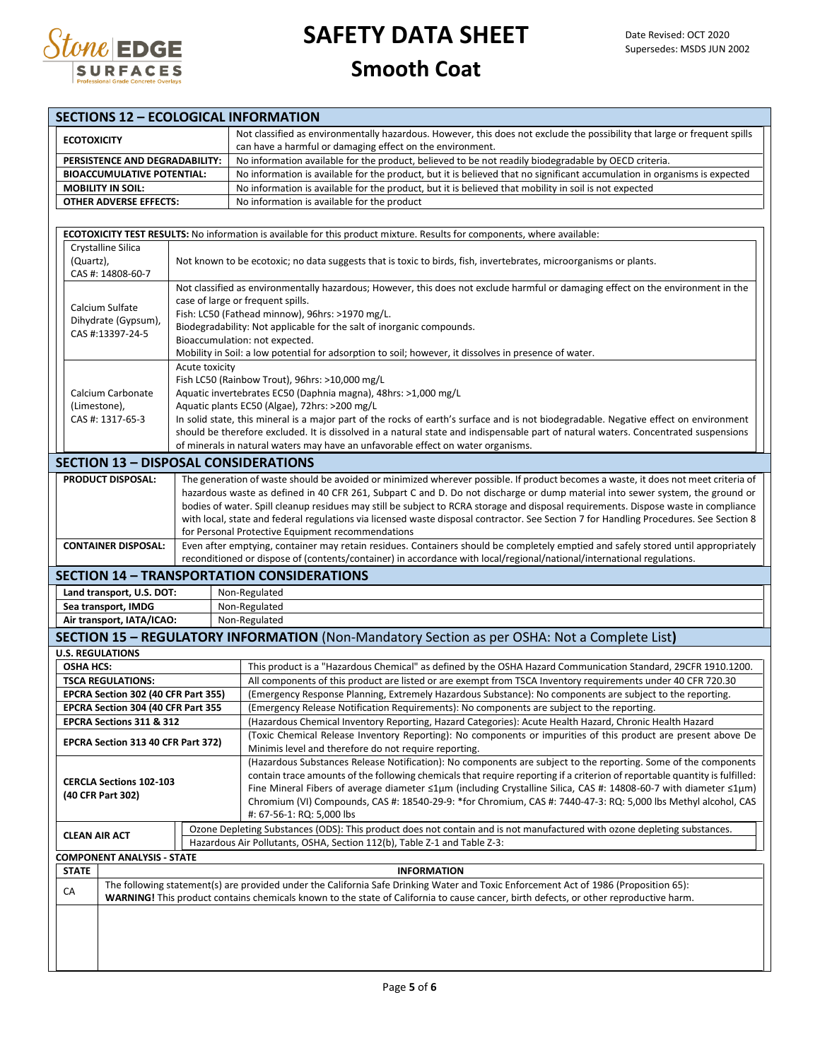

| <b>SECTIONS 12 - ECOLOGICAL INFORMATION</b>                    |                                                                                                                   |                                                                                                                                                                                                                                                                               |  |  |  |  |  |  |  |
|----------------------------------------------------------------|-------------------------------------------------------------------------------------------------------------------|-------------------------------------------------------------------------------------------------------------------------------------------------------------------------------------------------------------------------------------------------------------------------------|--|--|--|--|--|--|--|
| <b>ECOTOXICITY</b>                                             |                                                                                                                   | Not classified as environmentally hazardous. However, this does not exclude the possibility that large or frequent spills<br>can have a harmful or damaging effect on the environment.                                                                                        |  |  |  |  |  |  |  |
| PERSISTENCE AND DEGRADABILITY:                                 |                                                                                                                   | No information available for the product, believed to be not readily biodegradable by OECD criteria.                                                                                                                                                                          |  |  |  |  |  |  |  |
| <b>BIOACCUMULATIVE POTENTIAL:</b>                              |                                                                                                                   | No information is available for the product, but it is believed that no significant accumulation in organisms is expected                                                                                                                                                     |  |  |  |  |  |  |  |
| <b>MOBILITY IN SOIL:</b>                                       |                                                                                                                   | No information is available for the product, but it is believed that mobility in soil is not expected                                                                                                                                                                         |  |  |  |  |  |  |  |
| <b>OTHER ADVERSE EFFECTS:</b>                                  |                                                                                                                   | No information is available for the product                                                                                                                                                                                                                                   |  |  |  |  |  |  |  |
|                                                                |                                                                                                                   |                                                                                                                                                                                                                                                                               |  |  |  |  |  |  |  |
| Crystalline Silica                                             |                                                                                                                   | ECOTOXICITY TEST RESULTS: No information is available for this product mixture. Results for components, where available:                                                                                                                                                      |  |  |  |  |  |  |  |
| (Quartz),<br>CAS #: 14808-60-7                                 | Not known to be ecotoxic; no data suggests that is toxic to birds, fish, invertebrates, microorganisms or plants. |                                                                                                                                                                                                                                                                               |  |  |  |  |  |  |  |
|                                                                |                                                                                                                   | Not classified as environmentally hazardous; However, this does not exclude harmful or damaging effect on the environment in the<br>case of large or frequent spills.                                                                                                         |  |  |  |  |  |  |  |
| Calcium Sulfate<br>Dihydrate (Gypsum),                         |                                                                                                                   | Fish: LC50 (Fathead minnow), 96hrs: >1970 mg/L.                                                                                                                                                                                                                               |  |  |  |  |  |  |  |
| CAS #:13397-24-5                                               |                                                                                                                   | Biodegradability: Not applicable for the salt of inorganic compounds.                                                                                                                                                                                                         |  |  |  |  |  |  |  |
|                                                                |                                                                                                                   | Bioaccumulation: not expected.                                                                                                                                                                                                                                                |  |  |  |  |  |  |  |
|                                                                | Acute toxicity                                                                                                    | Mobility in Soil: a low potential for adsorption to soil; however, it dissolves in presence of water.                                                                                                                                                                         |  |  |  |  |  |  |  |
|                                                                |                                                                                                                   | Fish LC50 (Rainbow Trout), 96hrs: >10,000 mg/L                                                                                                                                                                                                                                |  |  |  |  |  |  |  |
| Calcium Carbonate                                              |                                                                                                                   | Aquatic invertebrates EC50 (Daphnia magna), 48hrs: >1,000 mg/L                                                                                                                                                                                                                |  |  |  |  |  |  |  |
| (Limestone),                                                   |                                                                                                                   | Aquatic plants EC50 (Algae), 72hrs: >200 mg/L                                                                                                                                                                                                                                 |  |  |  |  |  |  |  |
| CAS #: 1317-65-3                                               |                                                                                                                   | In solid state, this mineral is a major part of the rocks of earth's surface and is not biodegradable. Negative effect on environment<br>should be therefore excluded. It is dissolved in a natural state and indispensable part of natural waters. Concentrated suspensions  |  |  |  |  |  |  |  |
|                                                                |                                                                                                                   | of minerals in natural waters may have an unfavorable effect on water organisms.                                                                                                                                                                                              |  |  |  |  |  |  |  |
| <b>SECTION 13 - DISPOSAL CONSIDERATIONS</b>                    |                                                                                                                   |                                                                                                                                                                                                                                                                               |  |  |  |  |  |  |  |
| <b>PRODUCT DISPOSAL:</b>                                       |                                                                                                                   | The generation of waste should be avoided or minimized wherever possible. If product becomes a waste, it does not meet criteria of                                                                                                                                            |  |  |  |  |  |  |  |
|                                                                |                                                                                                                   | hazardous waste as defined in 40 CFR 261, Subpart C and D. Do not discharge or dump material into sewer system, the ground or                                                                                                                                                 |  |  |  |  |  |  |  |
|                                                                |                                                                                                                   | bodies of water. Spill cleanup residues may still be subject to RCRA storage and disposal requirements. Dispose waste in compliance                                                                                                                                           |  |  |  |  |  |  |  |
|                                                                |                                                                                                                   | with local, state and federal regulations via licensed waste disposal contractor. See Section 7 for Handling Procedures. See Section 8                                                                                                                                        |  |  |  |  |  |  |  |
|                                                                |                                                                                                                   | for Personal Protective Equipment recommendations                                                                                                                                                                                                                             |  |  |  |  |  |  |  |
| <b>CONTAINER DISPOSAL:</b>                                     |                                                                                                                   | Even after emptying, container may retain residues. Containers should be completely emptied and safely stored until appropriately<br>reconditioned or dispose of (contents/container) in accordance with local/regional/national/international regulations.                   |  |  |  |  |  |  |  |
|                                                                |                                                                                                                   | <b>SECTION 14 - TRANSPORTATION CONSIDERATIONS</b>                                                                                                                                                                                                                             |  |  |  |  |  |  |  |
| Land transport, U.S. DOT:                                      |                                                                                                                   | Non-Regulated                                                                                                                                                                                                                                                                 |  |  |  |  |  |  |  |
| Sea transport, IMDG                                            |                                                                                                                   | Non-Regulated                                                                                                                                                                                                                                                                 |  |  |  |  |  |  |  |
| Air transport, IATA/ICAO:                                      |                                                                                                                   | Non-Regulated                                                                                                                                                                                                                                                                 |  |  |  |  |  |  |  |
|                                                                |                                                                                                                   | <b>SECTION 15 - REGULATORY INFORMATION</b> (Non-Mandatory Section as per OSHA: Not a Complete List)                                                                                                                                                                           |  |  |  |  |  |  |  |
| <b>U.S. REGULATIONS</b>                                        |                                                                                                                   |                                                                                                                                                                                                                                                                               |  |  |  |  |  |  |  |
| <b>OSHA HCS:</b>                                               |                                                                                                                   | This product is a "Hazardous Chemical" as defined by the OSHA Hazard Communication Standard, 29CFR 1910.1200.                                                                                                                                                                 |  |  |  |  |  |  |  |
| <b>TSCA REGULATIONS:</b>                                       |                                                                                                                   | All components of this product are listed or are exempt from TSCA Inventory requirements under 40 CFR 720.30                                                                                                                                                                  |  |  |  |  |  |  |  |
| EPCRA Section 302 (40 CFR Part 355)                            |                                                                                                                   | (Emergency Response Planning, Extremely Hazardous Substance): No components are subject to the reporting.                                                                                                                                                                     |  |  |  |  |  |  |  |
| EPCRA Section 304 (40 CFR Part 355<br>EPCRA Sections 311 & 312 |                                                                                                                   | (Emergency Release Notification Requirements): No components are subject to the reporting.                                                                                                                                                                                    |  |  |  |  |  |  |  |
|                                                                |                                                                                                                   | (Hazardous Chemical Inventory Reporting, Hazard Categories): Acute Health Hazard, Chronic Health Hazard<br>(Toxic Chemical Release Inventory Reporting): No components or impurities of this product are present above De                                                     |  |  |  |  |  |  |  |
|                                                                | EPCRA Section 313 40 CFR Part 372)<br>Minimis level and therefore do not require reporting.                       |                                                                                                                                                                                                                                                                               |  |  |  |  |  |  |  |
|                                                                |                                                                                                                   | (Hazardous Substances Release Notification): No components are subject to the reporting. Some of the components                                                                                                                                                               |  |  |  |  |  |  |  |
| <b>CERCLA Sections 102-103</b>                                 |                                                                                                                   | contain trace amounts of the following chemicals that require reporting if a criterion of reportable quantity is fulfilled:                                                                                                                                                   |  |  |  |  |  |  |  |
| (40 CFR Part 302)                                              |                                                                                                                   | Fine Mineral Fibers of average diameter ≤1µm (including Crystalline Silica, CAS #: 14808-60-7 with diameter ≤1µm)<br>Chromium (VI) Compounds, CAS #: 18540-29-9: *for Chromium, CAS #: 7440-47-3: RQ: 5,000 lbs Methyl alcohol, CAS                                           |  |  |  |  |  |  |  |
|                                                                |                                                                                                                   | #: 67-56-1: RQ: 5,000 lbs                                                                                                                                                                                                                                                     |  |  |  |  |  |  |  |
|                                                                |                                                                                                                   | Ozone Depleting Substances (ODS): This product does not contain and is not manufactured with ozone depleting substances.                                                                                                                                                      |  |  |  |  |  |  |  |
| <b>CLEAN AIR ACT</b>                                           |                                                                                                                   | Hazardous Air Pollutants, OSHA, Section 112(b), Table Z-1 and Table Z-3:                                                                                                                                                                                                      |  |  |  |  |  |  |  |
| <b>COMPONENT ANALYSIS - STATE</b>                              |                                                                                                                   |                                                                                                                                                                                                                                                                               |  |  |  |  |  |  |  |
| <b>STATE</b>                                                   |                                                                                                                   | <b>INFORMATION</b>                                                                                                                                                                                                                                                            |  |  |  |  |  |  |  |
| CA                                                             |                                                                                                                   | The following statement(s) are provided under the California Safe Drinking Water and Toxic Enforcement Act of 1986 (Proposition 65):<br>WARNING! This product contains chemicals known to the state of California to cause cancer, birth defects, or other reproductive harm. |  |  |  |  |  |  |  |
|                                                                |                                                                                                                   |                                                                                                                                                                                                                                                                               |  |  |  |  |  |  |  |
|                                                                |                                                                                                                   |                                                                                                                                                                                                                                                                               |  |  |  |  |  |  |  |
|                                                                |                                                                                                                   |                                                                                                                                                                                                                                                                               |  |  |  |  |  |  |  |
|                                                                |                                                                                                                   |                                                                                                                                                                                                                                                                               |  |  |  |  |  |  |  |